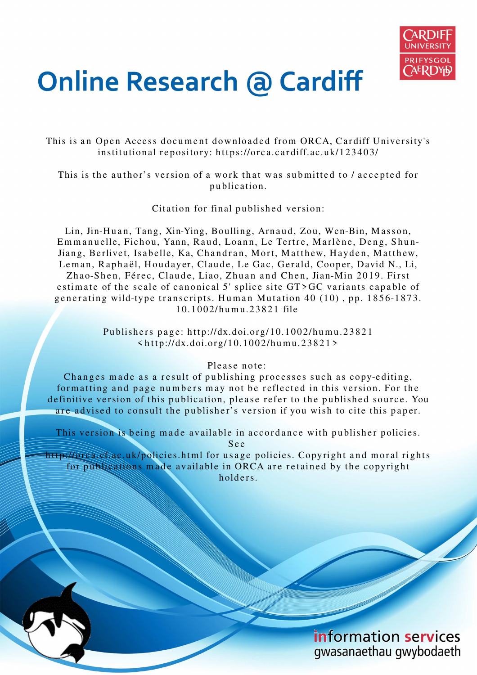

# **Online Research @ Cardiff**

This is an Open Access document downloaded from ORCA, Cardiff University's institutional repository: https://orca.cardiff.ac.uk/123403/

This is the author's version of a work that was submitted to / accepted for p u blication.

Citation for final published version:

Lin, Jin-Huan, Tang, Xin-Ying, Boulling, Arnaud, Zou, Wen-Bin, Masson, Emmanuelle, Fichou, Yann, Raud, Loann, Le Tertre, Marlène, Deng, Shun-Jiang, Berlivet, Isabelle, Ka, Chandran, Mort, Matthew, Hayden, Matthew, Leman, Raphaël, Houdayer, Claude, Le Gac, Gerald, Cooper, David N., Li, Zhao-Shen, Férec, Claude, Liao, Zhuan and Chen, Jian-Min 2019. First estimate of the scale of canonical 5' splice site  $GT > GC$  variants capable of generating wild-type transcripts. Human Mutation  $40$  (10), pp. 1856-1873. 1 0.1 0 0 2/h u m u.2 3 8 2 1 file

> Publishers page: http://dx.doi.org/10.1002/humu.23821  $\langle$ http://dx.doi.org/10.1002/humu.23821>

> > Please note:

Changes made as a result of publishing processes such as copy-editing, formatting and page numbers may not be reflected in this version. For the definitive version of this publication, please refer to the published source. You are advised to consult the publisher's version if you wish to cite this paper.

This version is being made available in accordance with publisher policies.

S e e

http://orca.cf.ac.uk/policies.html for usage policies. Copyright and moral rights for publications made available in ORCA are retained by the copyright holders.

> information services gwasanaethau gwybodaeth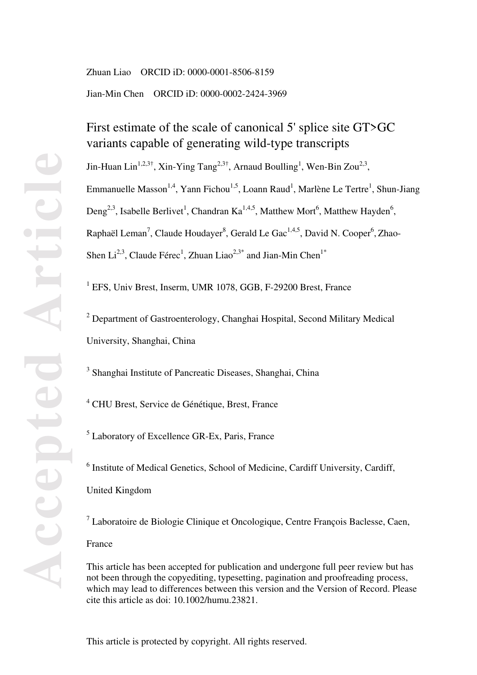Zhuan Liao ORCID iD: 0000-0001-8506-8159 Jian-Min Chen ORCID iD: 0000-0002-2424-3969

# First estimate of the scale of canonical 5' splice site GT>GC variants capable of generating wild-type transcripts

Jin-Huan Lin<sup>1,2,3†</sup>, Xin-Ying Tang<sup>2,3†</sup>, Arnaud Boulling<sup>1</sup>, Wen-Bin Zou<sup>2,3</sup>, Emmanuelle Masson<sup>1,4</sup>, Yann Fichou<sup>1,5</sup>, Loann Raud<sup>1</sup>, Marlène Le Tertre<sup>1</sup>, Shun-Jiang Deng<sup>2,3</sup>, Isabelle Berlivet<sup>1</sup>, Chandran Ka<sup>1,4,5</sup>, Matthew Mort<sup>6</sup>, Matthew Hayden<sup>6</sup>, Raphaël Leman<sup>7</sup>, Claude Houdayer<sup>8</sup>, Gerald Le Gac<sup>1,4,5</sup>, David N. Cooper<sup>6</sup>, Zhao-Shen Li<sup>2,3</sup>, Claude Férec<sup>1</sup>, Zhuan Liao<sup>2,3\*</sup> and Jian-Min Chen<sup>1\*</sup>

<sup>1</sup> EFS, Univ Brest, Inserm, UMR 1078, GGB, F-29200 Brest, France

<sup>2</sup> Department of Gastroenterology, Changhai Hospital, Second Military Medical University, Shanghai, China

<sup>3</sup> Shanghai Institute of Pancreatic Diseases, Shanghai, China

<sup>4</sup> CHU Brest, Service de Génétique, Brest, France

5 Laboratory of Excellence GR-Ex, Paris, France

<sup>6</sup> Institute of Medical Genetics, School of Medicine, Cardiff University, Cardiff, United Kingdom

<sup>7</sup> Laboratoire de Biologie Clinique et Oncologique, Centre François Baclesse, Caen,

France

This article has been accepted for publication and undergone full peer review but has not been through the copyediting, typesetting, pagination and proofreading process, which may lead to differences between this version and the Version of Record. Please cite this article as doi: 10.1002/humu.23821.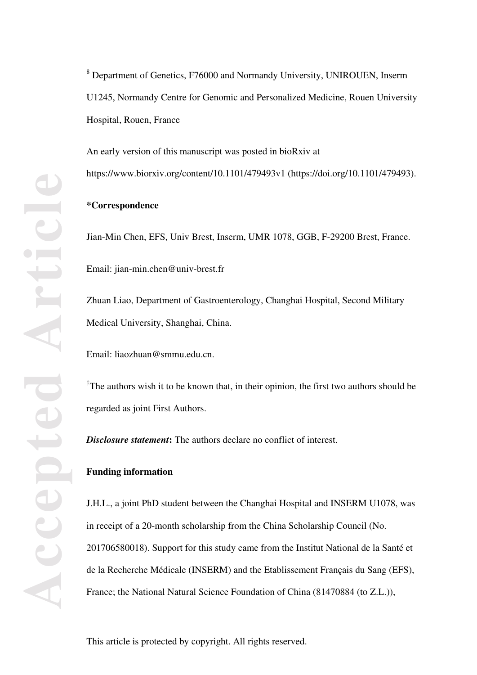An early version of this manuscript was posted in bioRxiv at https://www.biorxiv.org/content/10.1101/479493v1 (https://doi.org/10.1101/479493).

## **\*Correspondence**

Jian-Min Chen, EFS, Univ Brest, Inserm, UMR 1078, GGB, F-29200 Brest, France. Email: jian-min.chen@univ-brest.fr

Zhuan Liao, Department of Gastroenterology, Changhai Hospital, Second Military Medical University, Shanghai, China.

Email: liaozhuan@smmu.edu.cn.

<sup>†</sup>The authors wish it to be known that, in their opinion, the first two authors should be regarded as joint First Authors.

*Disclosure statement***:** The authors declare no conflict of interest.

# **Funding information**

J.H.L., a joint PhD student between the Changhai Hospital and INSERM U1078, was in receipt of a 20-month scholarship from the China Scholarship Council (No. 201706580018). Support for this study came from the Institut National de la Santé et de la Recherche Médicale (INSERM) and the Etablissement Français du Sang (EFS), France; the National Natural Science Foundation of China (81470884 (to Z.L.)),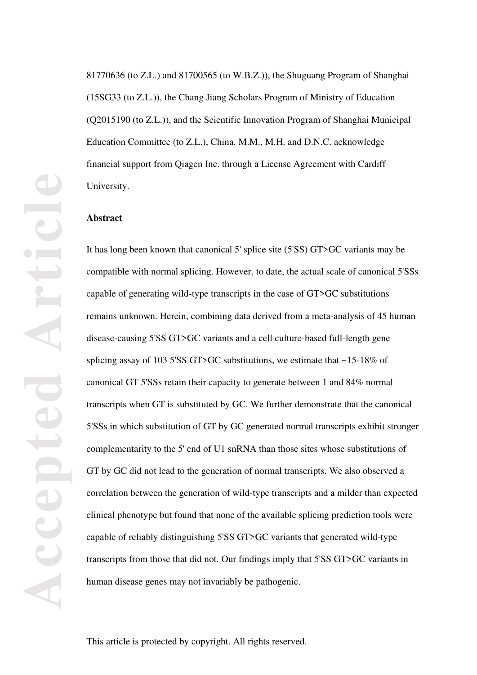81770636 (to Z.L.) and 81700565 (to W.B.Z.)), the Shuguang Program of Shanghai (15SG33 (to Z.L.)), the Chang Jiang Scholars Program of Ministry of Education (Q2015190 (to Z.L.)), and the Scientific Innovation Program of Shanghai Municipal Education Committee (to Z.L.), China. M.M., M.H. and D.N.C. acknowledge financial support from Qiagen Inc. through a License Agreement with Cardiff University.

#### **Abstract**

It has long been known that canonical 5' splice site (5'SS) GT>GC variants may be compatible with normal splicing. However, to date, the actual scale of canonical 5'SSs capable of generating wild-type transcripts in the case of GT>GC substitutions remains unknown. Herein, combining data derived from a meta-analysis of 45 human disease-causing 5'SS GT>GC variants and a cell culture-based full-length gene splicing assay of 103 5'SS GT>GC substitutions, we estimate that ~15-18% of canonical GT 5'SSs retain their capacity to generate between 1 and 84% normal transcripts when GT is substituted by GC. We further demonstrate that the canonical 5'SSs in which substitution of GT by GC generated normal transcripts exhibit stronger complementarity to the 5' end of U1 snRNA than those sites whose substitutions of GT by GC did not lead to the generation of normal transcripts. We also observed a correlation between the generation of wild-type transcripts and a milder than expected clinical phenotype but found that none of the available splicing prediction tools were capable of reliably distinguishing 5'SS GT>GC variants that generated wild-type transcripts from those that did not. Our findings imply that 5'SS GT>GC variants in human disease genes may not invariably be pathogenic.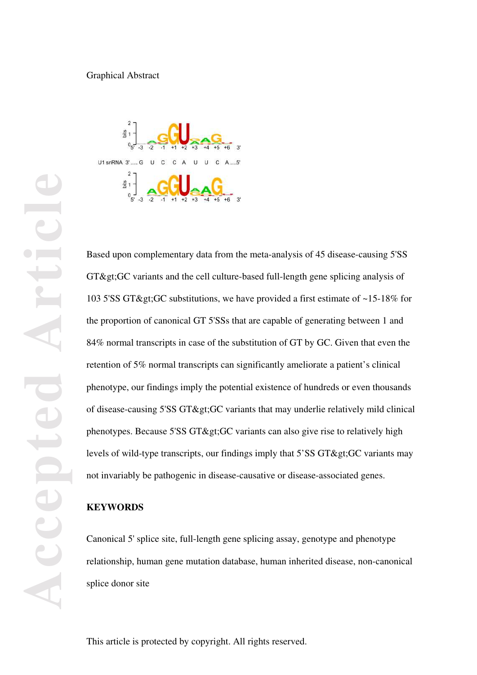# Graphical Abstract



Based upon complementary data from the meta-analysis of 45 disease-causing 5'SS  $GT\&$ gt; $GC$  variants and the cell culture-based full-length gene splicing analysis of 103 5'SS GT> GC substitutions, we have provided a first estimate of  $~15-18\%$  for the proportion of canonical GT 5'SSs that are capable of generating between 1 and 84% normal transcripts in case of the substitution of GT by GC. Given that even the retention of 5% normal transcripts can significantly ameliorate a patient's clinical phenotype, our findings imply the potential existence of hundreds or even thousands of disease-causing 5'SS GT> GC variants that may underlie relatively mild clinical phenotypes. Because  $5'SS GT\>gC$  variants can also give rise to relatively high levels of wild-type transcripts, our findings imply that  $5'SS GT\>gCC$  variants may not invariably be pathogenic in disease-causative or disease-associated genes.

## **KEYWORDS**

Canonical 5' splice site, full-length gene splicing assay, genotype and phenotype relationship, human gene mutation database, human inherited disease, non-canonical splice donor site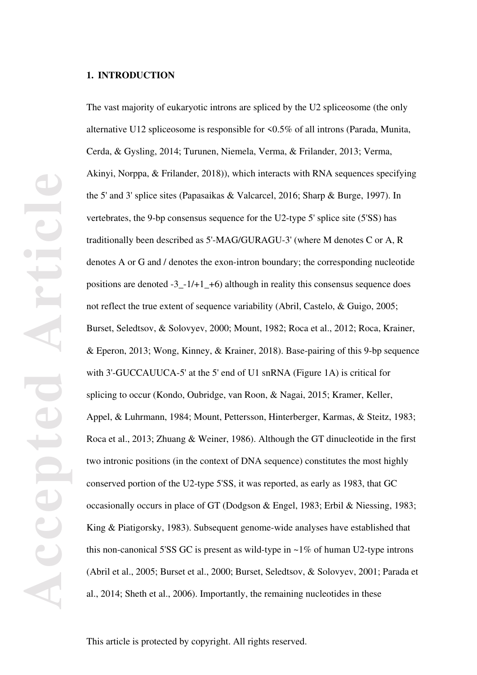## **1. INTRODUCTION**

The vast majority of eukaryotic introns are spliced by the U2 spliceosome (the only alternative U12 spliceosome is responsible for <0.5% of all introns (Parada, Munita, Cerda, & Gysling, 2014; Turunen, Niemela, Verma, & Frilander, 2013; Verma, Akinyi, Norppa, & Frilander, 2018)), which interacts with RNA sequences specifying the 5' and 3' splice sites (Papasaikas & Valcarcel, 2016; Sharp & Burge, 1997). In vertebrates, the 9-bp consensus sequence for the U2-type 5' splice site (5'SS) has traditionally been described as 5'-MAG/GURAGU-3' (where M denotes C or A, R denotes A or G and / denotes the exon-intron boundary; the corresponding nucleotide positions are denoted -3\_-1/+1\_+6) although in reality this consensus sequence does not reflect the true extent of sequence variability (Abril, Castelo, & Guigo, 2005; Burset, Seledtsov, & Solovyev, 2000; Mount, 1982; Roca et al., 2012; Roca, Krainer, & Eperon, 2013; Wong, Kinney, & Krainer, 2018). Base-pairing of this 9-bp sequence with 3'-GUCCAUUCA-5' at the 5' end of U1 snRNA (Figure 1A) is critical for splicing to occur (Kondo, Oubridge, van Roon, & Nagai, 2015; Kramer, Keller, Appel, & Luhrmann, 1984; Mount, Pettersson, Hinterberger, Karmas, & Steitz, 1983; Roca et al., 2013; Zhuang & Weiner, 1986). Although the GT dinucleotide in the first two intronic positions (in the context of DNA sequence) constitutes the most highly conserved portion of the U2-type 5'SS, it was reported, as early as 1983, that GC occasionally occurs in place of GT (Dodgson & Engel, 1983; Erbil & Niessing, 1983; King & Piatigorsky, 1983). Subsequent genome-wide analyses have established that this non-canonical 5'SS GC is present as wild-type in  $\sim$ 1% of human U2-type introns (Abril et al., 2005; Burset et al., 2000; Burset, Seledtsov, & Solovyev, 2001; Parada et al., 2014; Sheth et al., 2006). Importantly, the remaining nucleotides in these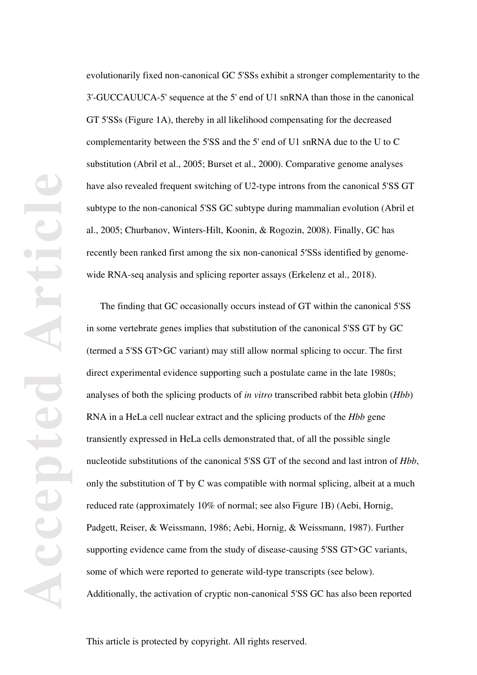evolutionarily fixed non-canonical GC 5'SSs exhibit a stronger complementarity to the 3'-GUCCAUUCA-5' sequence at the 5' end of U1 snRNA than those in the canonical GT 5'SSs (Figure 1A), thereby in all likelihood compensating for the decreased complementarity between the 5'SS and the 5' end of U1 snRNA due to the U to C substitution (Abril et al., 2005; Burset et al., 2000). Comparative genome analyses have also revealed frequent switching of U2-type introns from the canonical 5'SS GT subtype to the non-canonical 5'SS GC subtype during mammalian evolution (Abril et al., 2005; Churbanov, Winters-Hilt, Koonin, & Rogozin, 2008). Finally, GC has recently been ranked first among the six non-canonical 5′SSs identified by genomewide RNA-seq analysis and splicing reporter assays (Erkelenz et al., 2018).

The finding that GC occasionally occurs instead of GT within the canonical 5'SS in some vertebrate genes implies that substitution of the canonical 5'SS GT by GC (termed a 5'SS GT>GC variant) may still allow normal splicing to occur. The first direct experimental evidence supporting such a postulate came in the late 1980s; analyses of both the splicing products of *in vitro* transcribed rabbit beta globin (*Hbb*) RNA in a HeLa cell nuclear extract and the splicing products of the *Hbb* gene transiently expressed in HeLa cells demonstrated that, of all the possible single nucleotide substitutions of the canonical 5'SS GT of the second and last intron of *Hbb*, only the substitution of  $T$  by  $C$  was compatible with normal splicing, albeit at a much reduced rate (approximately 10% of normal; see also Figure 1B) (Aebi, Hornig, Padgett, Reiser, & Weissmann, 1986; Aebi, Hornig, & Weissmann, 1987). Further supporting evidence came from the study of disease-causing 5'SS GT>GC variants, some of which were reported to generate wild-type transcripts (see below). Additionally, the activation of cryptic non-canonical 5'SS GC has also been reported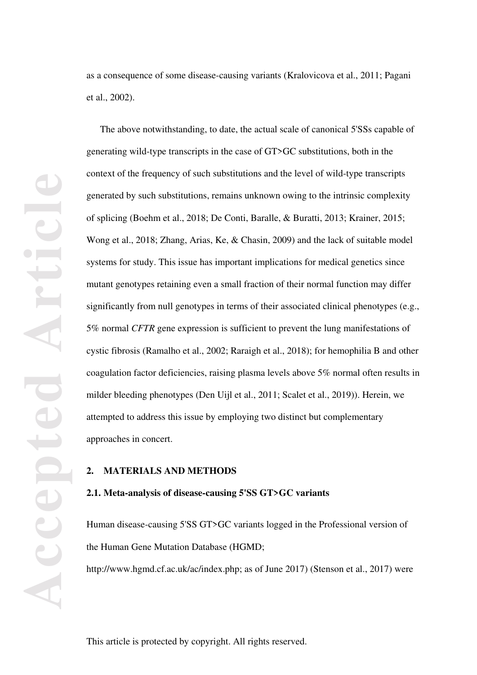as a consequence of some disease-causing variants (Kralovicova et al., 2011; Pagani et al., 2002).

The above notwithstanding, to date, the actual scale of canonical 5'SSs capable of generating wild-type transcripts in the case of GT>GC substitutions, both in the context of the frequency of such substitutions and the level of wild-type transcripts generated by such substitutions, remains unknown owing to the intrinsic complexity of splicing (Boehm et al., 2018; De Conti, Baralle, & Buratti, 2013; Krainer, 2015; Wong et al., 2018; Zhang, Arias, Ke, & Chasin, 2009) and the lack of suitable model systems for study. This issue has important implications for medical genetics since mutant genotypes retaining even a small fraction of their normal function may differ significantly from null genotypes in terms of their associated clinical phenotypes (e.g., 5% normal *CFTR* gene expression is sufficient to prevent the lung manifestations of cystic fibrosis (Ramalho et al., 2002; Raraigh et al., 2018); for hemophilia B and other coagulation factor deficiencies, raising plasma levels above 5% normal often results in milder bleeding phenotypes (Den Uijl et al., 2011; Scalet et al., 2019)). Herein, we attempted to address this issue by employing two distinct but complementary approaches in concert.

# **2. MATERIALS AND METHODS**

#### **2.1. Meta-analysis of disease-causing 5'SS GT>GC variants**

Human disease-causing 5'SS GT>GC variants logged in the Professional version of the Human Gene Mutation Database (HGMD;

http://www.hgmd.cf.ac.uk/ac/index.php; as of June 2017) (Stenson et al., 2017) were

**Accepted Article** Leticl Accepte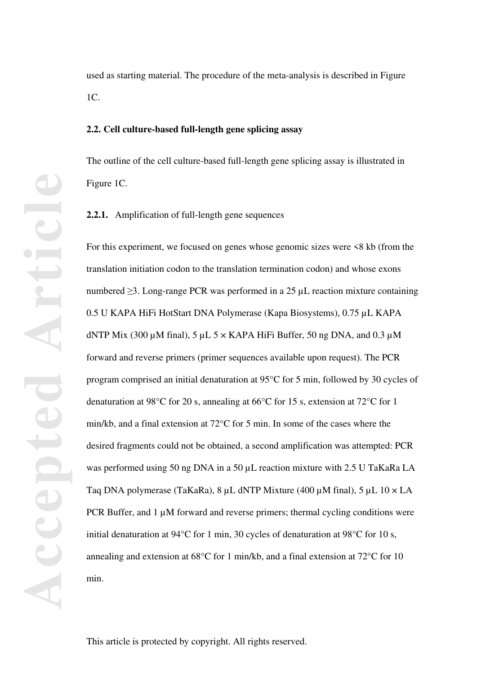used as starting material. The procedure of the meta-analysis is described in Figure 1C.

## **2.2. Cell culture-based full-length gene splicing assay**

The outline of the cell culture-based full-length gene splicing assay is illustrated in Figure 1C.

**2.2.1.** Amplification of full-length gene sequences

For this experiment, we focused on genes whose genomic sizes were <8 kb (from the translation initiation codon to the translation termination codon) and whose exons numbered ≥3. Long-range PCR was performed in a 25 µL reaction mixture containing 0.5 U KAPA HiFi HotStart DNA Polymerase (Kapa Biosystems), 0.75 µL KAPA dNTP Mix (300  $\mu$ M final), 5  $\mu$ L 5  $\times$  KAPA HiFi Buffer, 50 ng DNA, and 0.3  $\mu$ M forward and reverse primers (primer sequences available upon request). The PCR program comprised an initial denaturation at 95°C for 5 min, followed by 30 cycles of denaturation at 98°C for 20 s, annealing at 66°C for 15 s, extension at 72°C for 1 min/kb, and a final extension at 72°C for 5 min. In some of the cases where the desired fragments could not be obtained, a second amplification was attempted: PCR was performed using 50 ng DNA in a 50 µL reaction mixture with 2.5 U TaKaRa LA Taq DNA polymerase (TaKaRa), 8 µL dNTP Mixture (400 µM final), 5 µL 10 × LA PCR Buffer, and  $1 \mu$ M forward and reverse primers; thermal cycling conditions were initial denaturation at 94°C for 1 min, 30 cycles of denaturation at 98°C for 10 s, annealing and extension at 68°C for 1 min/kb, and a final extension at 72°C for 10 min.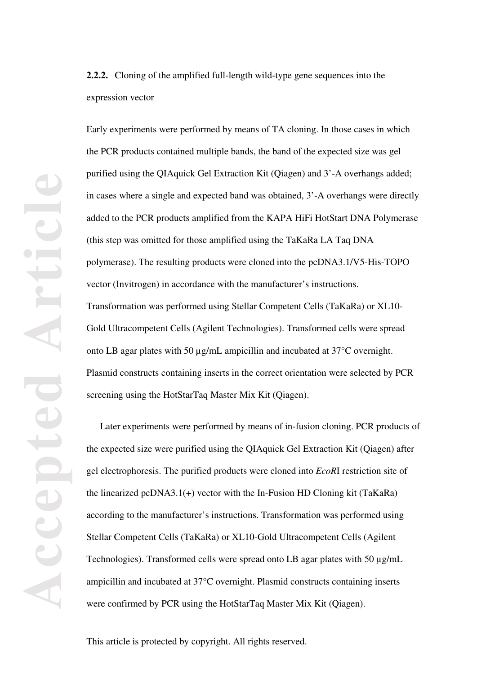**2.2.2.** Cloning of the amplified full-length wild-type gene sequences into the expression vector

Early experiments were performed by means of TA cloning. In those cases in which the PCR products contained multiple bands, the band of the expected size was gel purified using the QIAquick Gel Extraction Kit (Qiagen) and 3'-A overhangs added; in cases where a single and expected band was obtained, 3'-A overhangs were directly added to the PCR products amplified from the KAPA HiFi HotStart DNA Polymerase (this step was omitted for those amplified using the TaKaRa LA Taq DNA polymerase). The resulting products were cloned into the pcDNA3.1/V5-His-TOPO vector (Invitrogen) in accordance with the manufacturer's instructions. Transformation was performed using Stellar Competent Cells (TaKaRa) or XL10- Gold Ultracompetent Cells (Agilent Technologies). Transformed cells were spread onto LB agar plates with 50 µg/mL ampicillin and incubated at 37°C overnight. Plasmid constructs containing inserts in the correct orientation were selected by PCR screening using the HotStarTaq Master Mix Kit (Qiagen).

Later experiments were performed by means of in-fusion cloning. PCR products of the expected size were purified using the QIAquick Gel Extraction Kit (Qiagen) after gel electrophoresis. The purified products were cloned into *EcoR*I restriction site of the linearized pcDNA3.1(+) vector with the In-Fusion HD Cloning kit (TaKaRa) according to the manufacturer's instructions. Transformation was performed using Stellar Competent Cells (TaKaRa) or XL10-Gold Ultracompetent Cells (Agilent Technologies). Transformed cells were spread onto LB agar plates with 50 µg/mL ampicillin and incubated at 37°C overnight. Plasmid constructs containing inserts were confirmed by PCR using the HotStarTaq Master Mix Kit (Qiagen).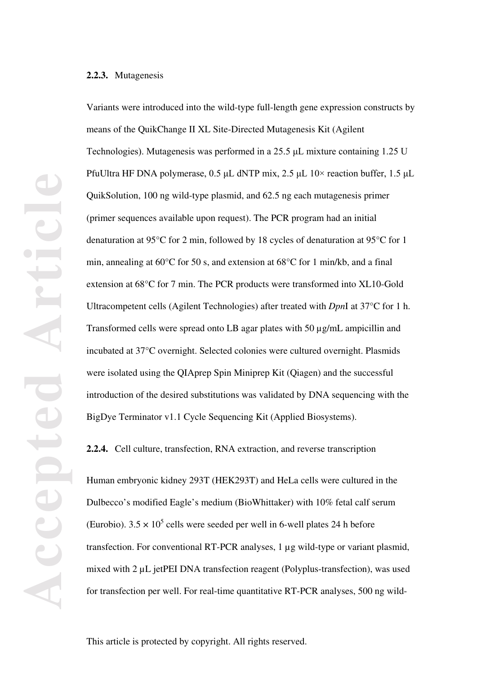#### **2.2.3.** Mutagenesis

Variants were introduced into the wild-type full-length gene expression constructs by means of the QuikChange II XL Site-Directed Mutagenesis Kit (Agilent Technologies). Mutagenesis was performed in a 25.5 μL mixture containing 1.25 U PfuUltra HF DNA polymerase,  $0.5 \mu L$  dNTP mix,  $2.5 \mu L$  10× reaction buffer, 1.5  $\mu L$ QuikSolution, 100 ng wild-type plasmid, and 62.5 ng each mutagenesis primer (primer sequences available upon request). The PCR program had an initial denaturation at 95°C for 2 min, followed by 18 cycles of denaturation at 95°C for 1 min, annealing at 60°C for 50 s, and extension at 68°C for 1 min/kb, and a final extension at 68°C for 7 min. The PCR products were transformed into XL10-Gold Ultracompetent cells (Agilent Technologies) after treated with *Dpn*I at 37°C for 1 h. Transformed cells were spread onto LB agar plates with 50 µg/mL ampicillin and incubated at 37°C overnight. Selected colonies were cultured overnight. Plasmids were isolated using the QIAprep Spin Miniprep Kit (Qiagen) and the successful introduction of the desired substitutions was validated by DNA sequencing with the BigDye Terminator v1.1 Cycle Sequencing Kit (Applied Biosystems).

**2.2.4.** Cell culture, transfection, RNA extraction, and reverse transcription

Human embryonic kidney 293T (HEK293T) and HeLa cells were cultured in the Dulbecco's modified Eagle's medium (BioWhittaker) with 10% fetal calf serum (Eurobio).  $3.5 \times 10^5$  cells were seeded per well in 6-well plates 24 h before transfection. For conventional RT-PCR analyses, 1 µg wild-type or variant plasmid, mixed with 2 µL jetPEI DNA transfection reagent (Polyplus-transfection), was used for transfection per well. For real-time quantitative RT-PCR analyses, 500 ng wild-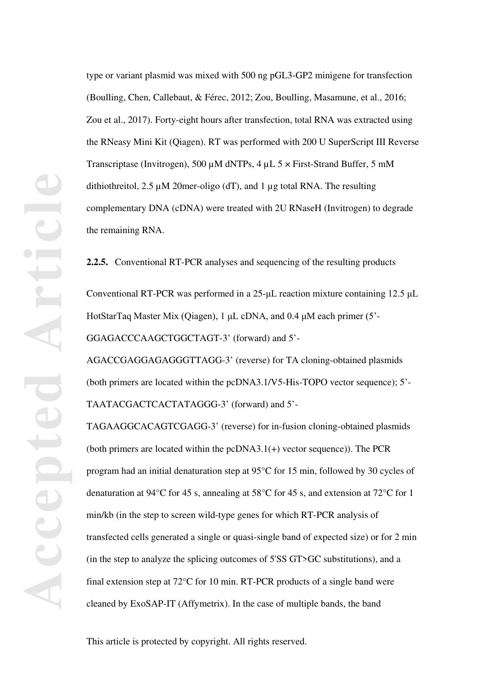type or variant plasmid was mixed with 500 ng pGL3-GP2 minigene for transfection (Boulling, Chen, Callebaut, & Férec, 2012; Zou, Boulling, Masamune, et al., 2016; Zou et al., 2017). Forty-eight hours after transfection, total RNA was extracted using the RNeasy Mini Kit (Qiagen). RT was performed with 200 U SuperScript III Reverse Transcriptase (Invitrogen), 500 µM dNTPs, 4 µL 5 × First-Strand Buffer, 5 mM dithiothreitol, 2.5 µM 20mer-oligo (dT), and 1 µg total RNA. The resulting complementary DNA (cDNA) were treated with 2U RNaseH (Invitrogen) to degrade the remaining RNA.

**2.2.5.** Conventional RT-PCR analyses and sequencing of the resulting products

Conventional RT-PCR was performed in a 25-μL reaction mixture containing 12.5 μL HotStarTaq Master Mix (Qiagen), 1 μL cDNA, and 0.4 μM each primer (5'- GGAGACCCAAGCTGGCTAGT-3' (forward) and 5'-

AGACCGAGGAGAGGGTTAGG-3' (reverse) for TA cloning-obtained plasmids (both primers are located within the pcDNA3.1/V5-His-TOPO vector sequence); 5'- TAATACGACTCACTATAGGG-3' (forward) and 5'-

TAGAAGGCACAGTCGAGG-3' (reverse) for in-fusion cloning-obtained plasmids (both primers are located within the pcDNA3.1(+) vector sequence)). The PCR program had an initial denaturation step at 95°C for 15 min, followed by 30 cycles of denaturation at 94°C for 45 s, annealing at 58°C for 45 s, and extension at 72°C for 1 min/kb (in the step to screen wild-type genes for which RT-PCR analysis of transfected cells generated a single or quasi-single band of expected size) or for 2 min (in the step to analyze the splicing outcomes of 5'SS GT>GC substitutions), and a final extension step at 72°C for 10 min. RT-PCR products of a single band were cleaned by ExoSAP-IT (Affymetrix). In the case of multiple bands, the band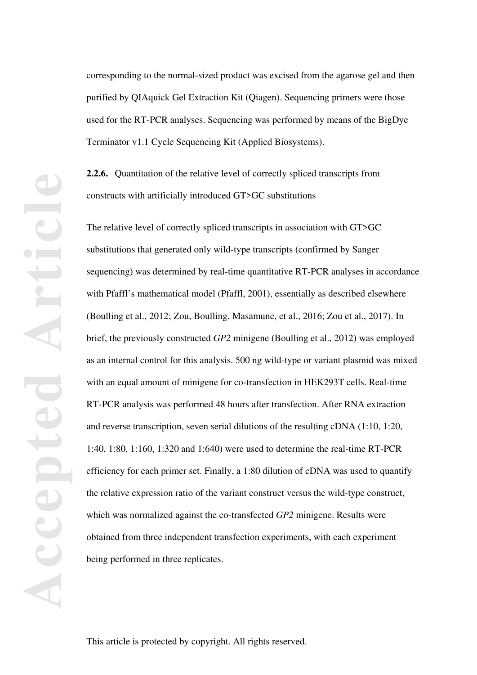corresponding to the normal-sized product was excised from the agarose gel and then purified by QIAquick Gel Extraction Kit (Qiagen). Sequencing primers were those used for the RT-PCR analyses. Sequencing was performed by means of the BigDye Terminator v1.1 Cycle Sequencing Kit (Applied Biosystems).

**2.2.6.** Quantitation of the relative level of correctly spliced transcripts from constructs with artificially introduced GT>GC substitutions

The relative level of correctly spliced transcripts in association with GT>GC substitutions that generated only wild-type transcripts (confirmed by Sanger sequencing) was determined by real-time quantitative RT-PCR analyses in accordance with Pfaffl's mathematical model (Pfaffl, 2001), essentially as described elsewhere (Boulling et al., 2012; Zou, Boulling, Masamune, et al., 2016; Zou et al., 2017). In brief, the previously constructed *GP2* minigene (Boulling et al., 2012) was employed as an internal control for this analysis. 500 ng wild-type or variant plasmid was mixed with an equal amount of minigene for co-transfection in HEK293T cells. Real-time RT-PCR analysis was performed 48 hours after transfection. After RNA extraction and reverse transcription, seven serial dilutions of the resulting cDNA (1:10, 1:20, 1:40, 1:80, 1:160, 1:320 and 1:640) were used to determine the real-time RT-PCR efficiency for each primer set. Finally, a 1:80 dilution of cDNA was used to quantify the relative expression ratio of the variant construct versus the wild-type construct, which was normalized against the co-transfected *GP2* minigene. Results were obtained from three independent transfection experiments, with each experiment being performed in three replicates.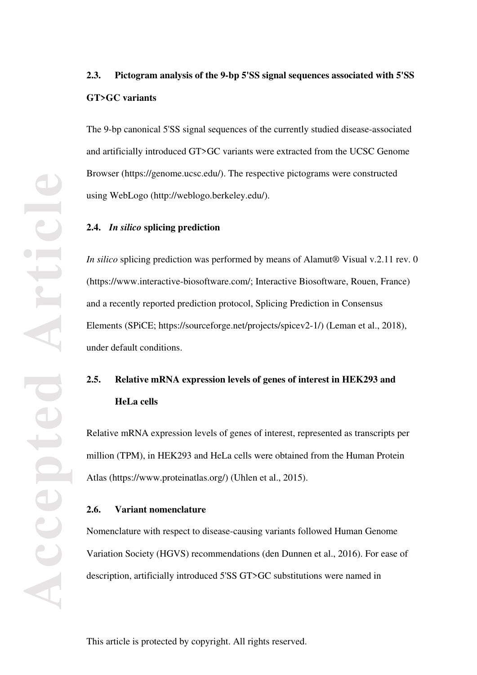# **2.3. Pictogram analysis of the 9-bp 5'SS signal sequences associated with 5'SS GT>GC variants**

The 9-bp canonical 5'SS signal sequences of the currently studied disease-associated and artificially introduced GT>GC variants were extracted from the UCSC Genome Browser (https://genome.ucsc.edu/). The respective pictograms were constructed using WebLogo (http://weblogo.berkeley.edu/).

#### **2.4.** *In silico* **splicing prediction**

*In silico* splicing prediction was performed by means of Alamut<sup>®</sup> Visual v.2.11 rev. 0 (https://www.interactive-biosoftware.com/; Interactive Biosoftware, Rouen, France) and a recently reported prediction protocol, Splicing Prediction in Consensus Elements (SPiCE; https://sourceforge.net/projects/spicev2-1/) (Leman et al., 2018), under default conditions.

# **2.5. Relative mRNA expression levels of genes of interest in HEK293 and HeLa cells**

Relative mRNA expression levels of genes of interest, represented as transcripts per million (TPM), in HEK293 and HeLa cells were obtained from the Human Protein Atlas (https://www.proteinatlas.org/) (Uhlen et al., 2015).

## **2.6. Variant nomenclature**

Nomenclature with respect to disease-causing variants followed Human Genome Variation Society (HGVS) recommendations (den Dunnen et al., 2016). For ease of description, artificially introduced 5'SS GT>GC substitutions were named in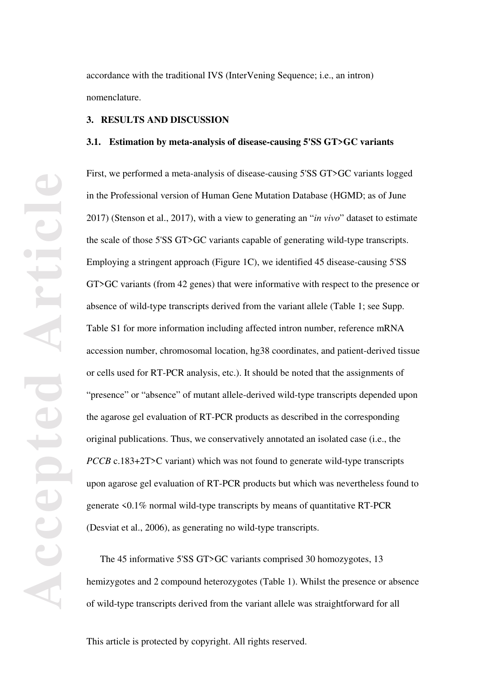accordance with the traditional IVS (InterVening Sequence; i.e., an intron) nomenclature.

#### **3. RESULTS AND DISCUSSION**

#### **3.1. Estimation by meta-analysis of disease-causing 5'SS GT>GC variants**

First, we performed a meta-analysis of disease-causing 5'SS GT>GC variants logged in the Professional version of Human Gene Mutation Database (HGMD; as of June 2017) (Stenson et al., 2017), with a view to generating an "*in vivo*" dataset to estimate the scale of those 5'SS GT>GC variants capable of generating wild-type transcripts. Employing a stringent approach (Figure 1C), we identified 45 disease-causing 5'SS GT>GC variants (from 42 genes) that were informative with respect to the presence or absence of wild-type transcripts derived from the variant allele (Table 1; see Supp. Table S1 for more information including affected intron number, reference mRNA accession number, chromosomal location, hg38 coordinates, and patient-derived tissue or cells used for RT-PCR analysis, etc.). It should be noted that the assignments of "presence" or "absence" of mutant allele-derived wild-type transcripts depended upon the agarose gel evaluation of RT-PCR products as described in the corresponding original publications. Thus, we conservatively annotated an isolated case (i.e., the *PCCB* c.183+2T>C variant) which was not found to generate wild-type transcripts upon agarose gel evaluation of RT-PCR products but which was nevertheless found to generate <0.1% normal wild-type transcripts by means of quantitative RT-PCR (Desviat et al., 2006), as generating no wild-type transcripts.

The 45 informative 5'SS GT>GC variants comprised 30 homozygotes, 13 hemizygotes and 2 compound heterozygotes (Table 1). Whilst the presence or absence of wild-type transcripts derived from the variant allele was straightforward for all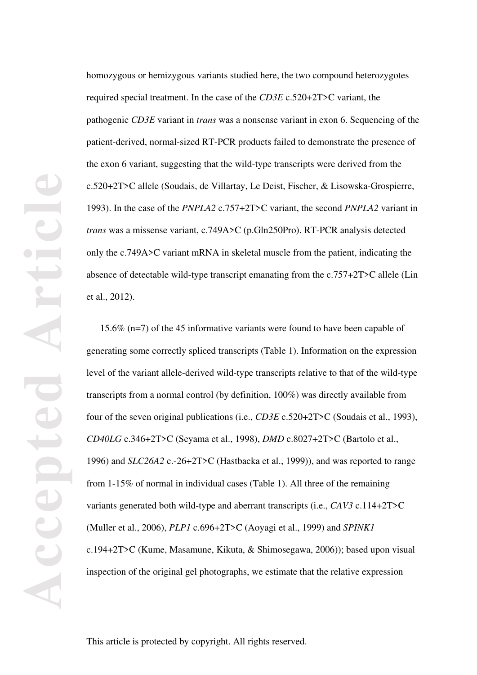homozygous or hemizygous variants studied here, the two compound heterozygotes required special treatment. In the case of the *CD3E* c.520+2T>C variant, the pathogenic *CD3E* variant in *trans* was a nonsense variant in exon 6. Sequencing of the patient-derived, normal-sized RT-PCR products failed to demonstrate the presence of the exon 6 variant, suggesting that the wild-type transcripts were derived from the c.520+2T>C allele (Soudais, de Villartay, Le Deist, Fischer, & Lisowska-Grospierre, 1993). In the case of the *PNPLA2* c.757+2T>C variant, the second *PNPLA2* variant in *trans* was a missense variant, c.749A>C (p.Gln250Pro). RT-PCR analysis detected only the c.749A>C variant mRNA in skeletal muscle from the patient, indicating the absence of detectable wild-type transcript emanating from the c.757+2T>C allele (Lin et al., 2012).

15.6% (n=7) of the 45 informative variants were found to have been capable of generating some correctly spliced transcripts (Table 1). Information on the expression level of the variant allele-derived wild-type transcripts relative to that of the wild-type transcripts from a normal control (by definition, 100%) was directly available from four of the seven original publications (i.e., *CD3E* c.520+2T>C (Soudais et al., 1993), *CD40LG* c.346+2T>C (Seyama et al., 1998), *DMD* c.8027+2T>C (Bartolo et al., 1996) and *SLC26A2* c.-26+2T>C (Hastbacka et al., 1999)), and was reported to range from 1-15% of normal in individual cases (Table 1). All three of the remaining variants generated both wild-type and aberrant transcripts (i.e., *CAV3* c.114+2T>C (Muller et al., 2006), *PLP1* c.696+2T>C (Aoyagi et al., 1999) and *SPINK1* c.194+2T>C (Kume, Masamune, Kikuta, & Shimosegawa, 2006)); based upon visual inspection of the original gel photographs, we estimate that the relative expression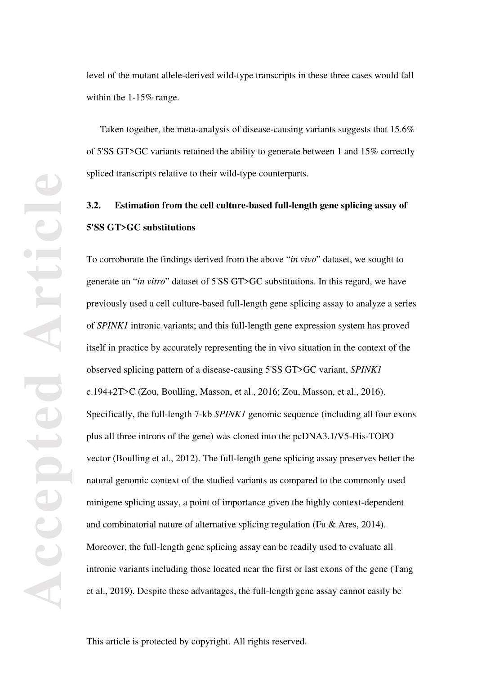level of the mutant allele-derived wild-type transcripts in these three cases would fall within the 1-15% range.

Taken together, the meta-analysis of disease-causing variants suggests that 15.6% of 5'SS GT>GC variants retained the ability to generate between 1 and 15% correctly spliced transcripts relative to their wild-type counterparts.

# **3.2. Estimation from the cell culture-based full-length gene splicing assay of 5'SS GT>GC substitutions**

To corroborate the findings derived from the above "*in vivo*" dataset, we sought to generate an "*in vitro*" dataset of 5'SS GT>GC substitutions. In this regard, we have previously used a cell culture-based full-length gene splicing assay to analyze a series of *SPINK1* intronic variants; and this full-length gene expression system has proved itself in practice by accurately representing the in vivo situation in the context of the observed splicing pattern of a disease-causing 5'SS GT>GC variant, *SPINK1* c.194+2T>C (Zou, Boulling, Masson, et al., 2016; Zou, Masson, et al., 2016). Specifically, the full-length 7-kb *SPINK1* genomic sequence (including all four exons plus all three introns of the gene) was cloned into the pcDNA3.1/V5-His-TOPO vector (Boulling et al., 2012). The full-length gene splicing assay preserves better the natural genomic context of the studied variants as compared to the commonly used minigene splicing assay, a point of importance given the highly context-dependent and combinatorial nature of alternative splicing regulation (Fu & Ares, 2014). Moreover, the full-length gene splicing assay can be readily used to evaluate all intronic variants including those located near the first or last exons of the gene (Tang et al., 2019). Despite these advantages, the full-length gene assay cannot easily be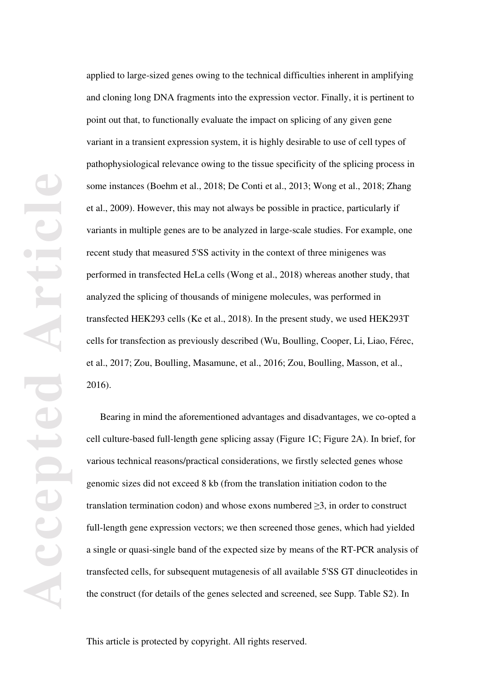applied to large-sized genes owing to the technical difficulties inherent in amplifying and cloning long DNA fragments into the expression vector. Finally, it is pertinent to point out that, to functionally evaluate the impact on splicing of any given gene variant in a transient expression system, it is highly desirable to use of cell types of pathophysiological relevance owing to the tissue specificity of the splicing process in some instances (Boehm et al., 2018; De Conti et al., 2013; Wong et al., 2018; Zhang et al., 2009). However, this may not always be possible in practice, particularly if variants in multiple genes are to be analyzed in large-scale studies. For example, one recent study that measured 5'SS activity in the context of three minigenes was performed in transfected HeLa cells (Wong et al., 2018) whereas another study, that analyzed the splicing of thousands of minigene molecules, was performed in transfected HEK293 cells (Ke et al., 2018). In the present study, we used HEK293T cells for transfection as previously described (Wu, Boulling, Cooper, Li, Liao, Férec, et al., 2017; Zou, Boulling, Masamune, et al., 2016; Zou, Boulling, Masson, et al., 2016).

Bearing in mind the aforementioned advantages and disadvantages, we co-opted a cell culture-based full-length gene splicing assay (Figure 1C; Figure 2A). In brief, for various technical reasons/practical considerations, we firstly selected genes whose genomic sizes did not exceed 8 kb (from the translation initiation codon to the translation termination codon) and whose exons numbered  $\geq 3$ , in order to construct full-length gene expression vectors; we then screened those genes, which had yielded a single or quasi-single band of the expected size by means of the RT-PCR analysis of transfected cells, for subsequent mutagenesis of all available 5'SS GT dinucleotides in the construct (for details of the genes selected and screened, see Supp. Table S2). In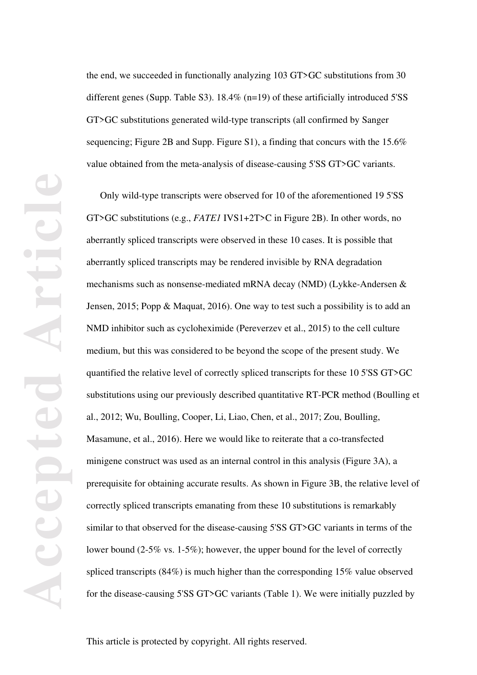the end, we succeeded in functionally analyzing 103 GT>GC substitutions from 30 different genes (Supp. Table S3). 18.4% (n=19) of these artificially introduced 5'SS GT>GC substitutions generated wild-type transcripts (all confirmed by Sanger sequencing; Figure 2B and Supp. Figure S1), a finding that concurs with the 15.6% value obtained from the meta-analysis of disease-causing 5'SS GT>GC variants.

Only wild-type transcripts were observed for 10 of the aforementioned 19 5'SS GT>GC substitutions (e.g., *FATE1* IVS1+2T>C in Figure 2B). In other words, no aberrantly spliced transcripts were observed in these 10 cases. It is possible that aberrantly spliced transcripts may be rendered invisible by RNA degradation mechanisms such as nonsense-mediated mRNA decay (NMD) (Lykke-Andersen & Jensen, 2015; Popp & Maquat, 2016). One way to test such a possibility is to add an NMD inhibitor such as cycloheximide (Pereverzev et al., 2015) to the cell culture medium, but this was considered to be beyond the scope of the present study. We quantified the relative level of correctly spliced transcripts for these 10 5'SS GT>GC substitutions using our previously described quantitative RT-PCR method (Boulling et al., 2012; Wu, Boulling, Cooper, Li, Liao, Chen, et al., 2017; Zou, Boulling, Masamune, et al., 2016). Here we would like to reiterate that a co-transfected minigene construct was used as an internal control in this analysis (Figure 3A), a prerequisite for obtaining accurate results. As shown in Figure 3B, the relative level of correctly spliced transcripts emanating from these 10 substitutions is remarkably similar to that observed for the disease-causing 5'SS GT>GC variants in terms of the lower bound (2-5% vs. 1-5%); however, the upper bound for the level of correctly spliced transcripts (84%) is much higher than the corresponding 15% value observed for the disease-causing 5'SS GT>GC variants (Table 1). We were initially puzzled by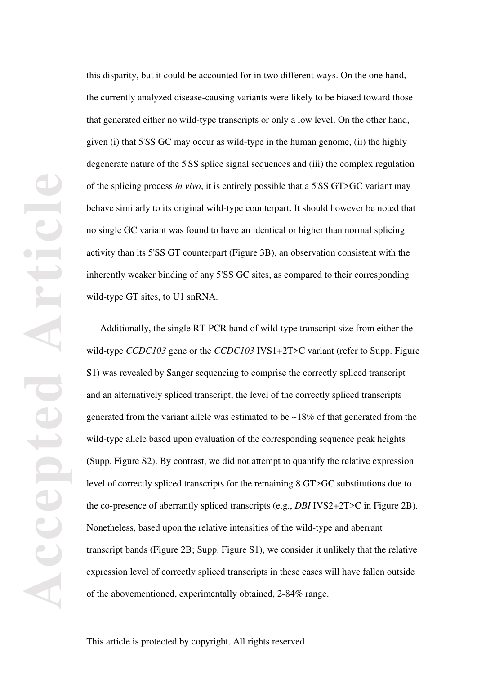this disparity, but it could be accounted for in two different ways. On the one hand, the currently analyzed disease-causing variants were likely to be biased toward those that generated either no wild-type transcripts or only a low level. On the other hand, given (i) that 5'SS GC may occur as wild-type in the human genome, (ii) the highly degenerate nature of the 5'SS splice signal sequences and (iii) the complex regulation of the splicing process *in vivo*, it is entirely possible that a 5'SS GT>GC variant may behave similarly to its original wild-type counterpart. It should however be noted that no single GC variant was found to have an identical or higher than normal splicing activity than its 5'SS GT counterpart (Figure 3B), an observation consistent with the inherently weaker binding of any 5'SS GC sites, as compared to their corresponding wild-type GT sites, to U1 snRNA.

Additionally, the single RT-PCR band of wild-type transcript size from either the wild-type *CCDC103* gene or the *CCDC103* IVS1+2T>C variant (refer to Supp. Figure S1) was revealed by Sanger sequencing to comprise the correctly spliced transcript and an alternatively spliced transcript; the level of the correctly spliced transcripts generated from the variant allele was estimated to be ~18% of that generated from the wild-type allele based upon evaluation of the corresponding sequence peak heights (Supp. Figure S2). By contrast, we did not attempt to quantify the relative expression level of correctly spliced transcripts for the remaining 8 GT>GC substitutions due to the co-presence of aberrantly spliced transcripts (e.g., *DBI* IVS2+2T>C in Figure 2B). Nonetheless, based upon the relative intensities of the wild-type and aberrant transcript bands (Figure 2B; Supp. Figure S1), we consider it unlikely that the relative expression level of correctly spliced transcripts in these cases will have fallen outside of the abovementioned, experimentally obtained, 2-84% range.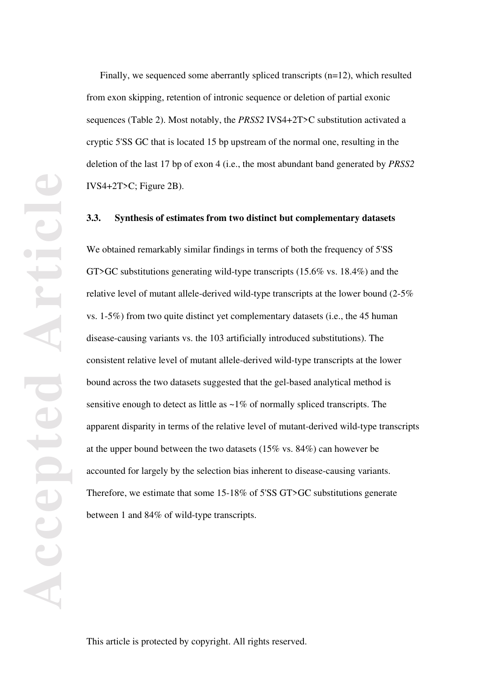Finally, we sequenced some aberrantly spliced transcripts (n=12), which resulted from exon skipping, retention of intronic sequence or deletion of partial exonic sequences (Table 2). Most notably, the *PRSS2* IVS4+2T>C substitution activated a cryptic 5'SS GC that is located 15 bp upstream of the normal one, resulting in the deletion of the last 17 bp of exon 4 (i.e., the most abundant band generated by *PRSS2* IVS4+2T>C; Figure 2B).

#### **3.3. Synthesis of estimates from two distinct but complementary datasets**

We obtained remarkably similar findings in terms of both the frequency of 5'SS GT>GC substitutions generating wild-type transcripts (15.6% vs. 18.4%) and the relative level of mutant allele-derived wild-type transcripts at the lower bound (2-5% vs. 1-5%) from two quite distinct yet complementary datasets (i.e., the 45 human disease-causing variants vs. the 103 artificially introduced substitutions). The consistent relative level of mutant allele-derived wild-type transcripts at the lower bound across the two datasets suggested that the gel-based analytical method is sensitive enough to detect as little as  $\sim$ 1% of normally spliced transcripts. The apparent disparity in terms of the relative level of mutant-derived wild-type transcripts at the upper bound between the two datasets (15% vs. 84%) can however be accounted for largely by the selection bias inherent to disease-causing variants. Therefore, we estimate that some 15-18% of 5'SS GT>GC substitutions generate between 1 and 84% of wild-type transcripts.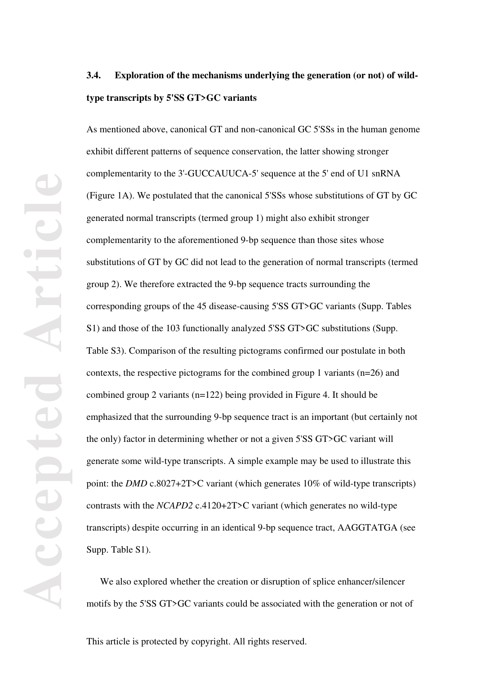# **3.4. Exploration of the mechanisms underlying the generation (or not) of wildtype transcripts by 5'SS GT>GC variants**

As mentioned above, canonical GT and non-canonical GC 5'SSs in the human genome exhibit different patterns of sequence conservation, the latter showing stronger complementarity to the 3'-GUCCAUUCA-5' sequence at the 5' end of U1 snRNA (Figure 1A). We postulated that the canonical 5'SSs whose substitutions of GT by GC generated normal transcripts (termed group 1) might also exhibit stronger complementarity to the aforementioned 9-bp sequence than those sites whose substitutions of GT by GC did not lead to the generation of normal transcripts (termed group 2). We therefore extracted the 9-bp sequence tracts surrounding the corresponding groups of the 45 disease-causing 5'SS GT>GC variants (Supp. Tables S1) and those of the 103 functionally analyzed 5'SS GT>GC substitutions (Supp. Table S3). Comparison of the resulting pictograms confirmed our postulate in both contexts, the respective pictograms for the combined group 1 variants (n=26) and combined group 2 variants (n=122) being provided in Figure 4. It should be emphasized that the surrounding 9-bp sequence tract is an important (but certainly not the only) factor in determining whether or not a given 5'SS GT>GC variant will generate some wild-type transcripts. A simple example may be used to illustrate this point: the *DMD* c.8027+2T>C variant (which generates 10% of wild-type transcripts) contrasts with the *NCAPD2* c.4120+2T>C variant (which generates no wild-type transcripts) despite occurring in an identical 9-bp sequence tract, AAGGTATGA (see Supp. Table S1).

We also explored whether the creation or disruption of splice enhancer/silencer motifs by the 5'SS GT>GC variants could be associated with the generation or not of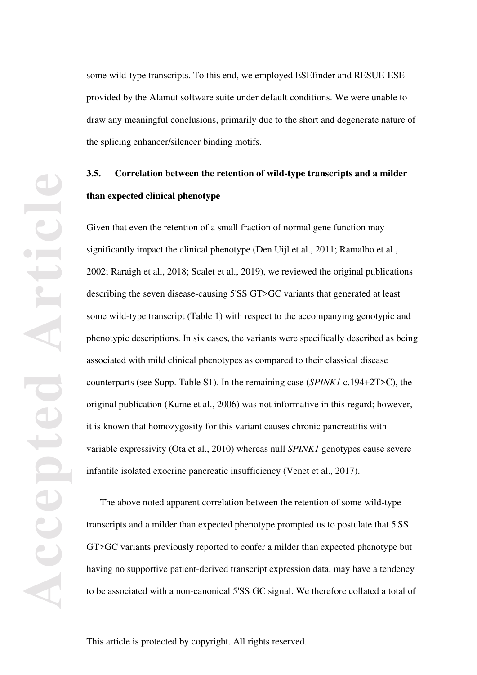some wild-type transcripts. To this end, we employed ESEfinder and RESUE-ESE provided by the Alamut software suite under default conditions. We were unable to draw any meaningful conclusions, primarily due to the short and degenerate nature of the splicing enhancer/silencer binding motifs.

# **3.5. Correlation between the retention of wild-type transcripts and a milder than expected clinical phenotype**

Given that even the retention of a small fraction of normal gene function may significantly impact the clinical phenotype (Den Uijl et al., 2011; Ramalho et al., 2002; Raraigh et al., 2018; Scalet et al., 2019), we reviewed the original publications describing the seven disease-causing 5'SS GT>GC variants that generated at least some wild-type transcript (Table 1) with respect to the accompanying genotypic and phenotypic descriptions. In six cases, the variants were specifically described as being associated with mild clinical phenotypes as compared to their classical disease counterparts (see Supp. Table S1). In the remaining case (*SPINK1* c.194+2T>C), the original publication (Kume et al., 2006) was not informative in this regard; however, it is known that homozygosity for this variant causes chronic pancreatitis with variable expressivity (Ota et al., 2010) whereas null *SPINK1* genotypes cause severe infantile isolated exocrine pancreatic insufficiency (Venet et al., 2017).

The above noted apparent correlation between the retention of some wild-type transcripts and a milder than expected phenotype prompted us to postulate that 5'SS GT>GC variants previously reported to confer a milder than expected phenotype but having no supportive patient-derived transcript expression data, may have a tendency to be associated with a non-canonical 5'SS GC signal. We therefore collated a total of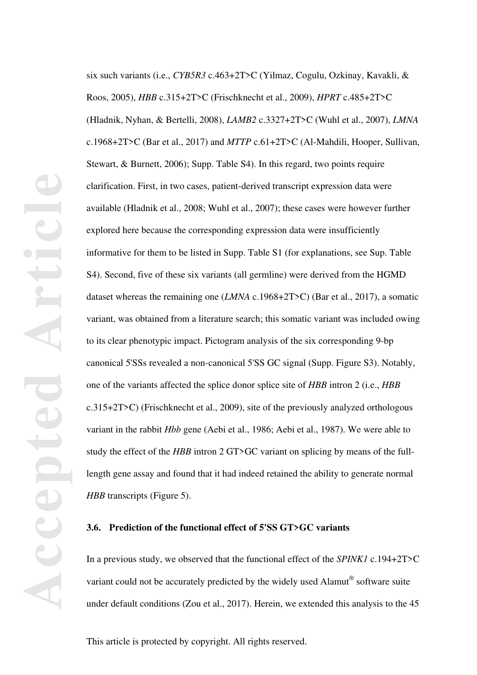six such variants (i.e., *CYB5R3* c.463+2T>C (Yilmaz, Cogulu, Ozkinay, Kavakli, & Roos, 2005), *HBB* c.315+2T>C (Frischknecht et al., 2009), *HPRT* c.485+2T>C (Hladnik, Nyhan, & Bertelli, 2008), *LAMB2* c.3327+2T>C (Wuhl et al., 2007), *LMNA* c.1968+2T>C (Bar et al., 2017) and *MTTP* c.61+2T>C (Al-Mahdili, Hooper, Sullivan, Stewart, & Burnett, 2006); Supp. Table S4). In this regard, two points require clarification. First, in two cases, patient-derived transcript expression data were available (Hladnik et al., 2008; Wuhl et al., 2007); these cases were however further explored here because the corresponding expression data were insufficiently informative for them to be listed in Supp. Table S1 (for explanations, see Sup. Table S4). Second, five of these six variants (all germline) were derived from the HGMD dataset whereas the remaining one (*LMNA* c.1968+2T>C) (Bar et al., 2017), a somatic variant, was obtained from a literature search; this somatic variant was included owing to its clear phenotypic impact. Pictogram analysis of the six corresponding 9-bp canonical 5'SSs revealed a non-canonical 5'SS GC signal (Supp. Figure S3). Notably, one of the variants affected the splice donor splice site of *HBB* intron 2 (i.e., *HBB* c.315+2T>C) (Frischknecht et al., 2009), site of the previously analyzed orthologous variant in the rabbit *Hbb* gene (Aebi et al., 1986; Aebi et al., 1987). We were able to study the effect of the *HBB* intron 2 GT>GC variant on splicing by means of the fulllength gene assay and found that it had indeed retained the ability to generate normal *HBB* transcripts (Figure 5).

## **3.6. Prediction of the functional effect of 5'SS GT>GC variants**

In a previous study, we observed that the functional effect of the *SPINK1* c.194+2T>C variant could not be accurately predicted by the widely used Alamut® software suite under default conditions (Zou et al., 2017). Herein, we extended this analysis to the 45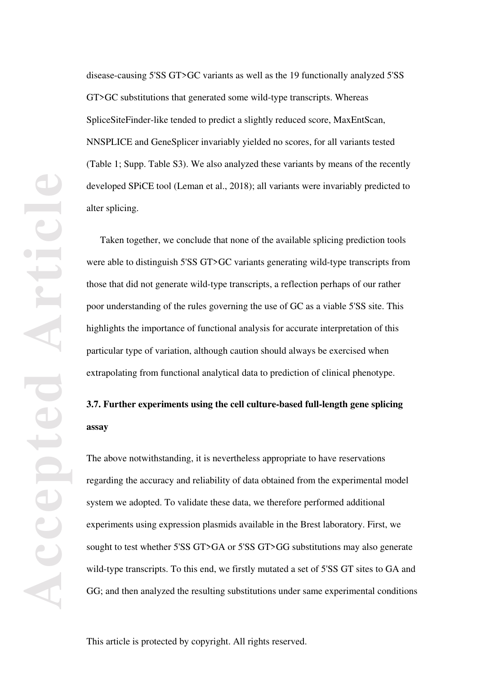disease-causing 5'SS GT>GC variants as well as the 19 functionally analyzed 5'SS GT>GC substitutions that generated some wild-type transcripts. Whereas SpliceSiteFinder-like tended to predict a slightly reduced score, MaxEntScan, NNSPLICE and GeneSplicer invariably yielded no scores, for all variants tested (Table 1; Supp. Table S3). We also analyzed these variants by means of the recently developed SPiCE tool (Leman et al., 2018); all variants were invariably predicted to alter splicing.

Taken together, we conclude that none of the available splicing prediction tools were able to distinguish 5'SS GT>GC variants generating wild-type transcripts from those that did not generate wild-type transcripts, a reflection perhaps of our rather poor understanding of the rules governing the use of GC as a viable 5'SS site. This highlights the importance of functional analysis for accurate interpretation of this particular type of variation, although caution should always be exercised when extrapolating from functional analytical data to prediction of clinical phenotype.

# **3.7. Further experiments using the cell culture-based full-length gene splicing assay**

The above notwithstanding, it is nevertheless appropriate to have reservations regarding the accuracy and reliability of data obtained from the experimental model system we adopted. To validate these data, we therefore performed additional experiments using expression plasmids available in the Brest laboratory. First, we sought to test whether 5'SS GT>GA or 5'SS GT>GG substitutions may also generate wild-type transcripts. To this end, we firstly mutated a set of 5'SS GT sites to GA and GG; and then analyzed the resulting substitutions under same experimental conditions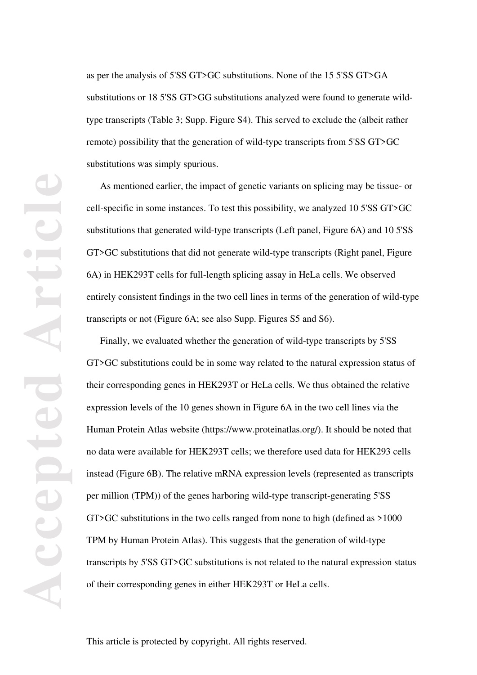as per the analysis of 5'SS GT>GC substitutions. None of the 15 5'SS GT>GA substitutions or 18 5'SS GT>GG substitutions analyzed were found to generate wildtype transcripts (Table 3; Supp. Figure S4). This served to exclude the (albeit rather remote) possibility that the generation of wild-type transcripts from 5'SS GT>GC substitutions was simply spurious.

As mentioned earlier, the impact of genetic variants on splicing may be tissue- or cell-specific in some instances. To test this possibility, we analyzed 10 5'SS GT>GC substitutions that generated wild-type transcripts (Left panel, Figure 6A) and 10 5'SS GT>GC substitutions that did not generate wild-type transcripts (Right panel, Figure 6A) in HEK293T cells for full-length splicing assay in HeLa cells. We observed entirely consistent findings in the two cell lines in terms of the generation of wild-type transcripts or not (Figure 6A; see also Supp. Figures S5 and S6).

Finally, we evaluated whether the generation of wild-type transcripts by 5'SS GT>GC substitutions could be in some way related to the natural expression status of their corresponding genes in HEK293T or HeLa cells. We thus obtained the relative expression levels of the 10 genes shown in Figure 6A in the two cell lines via the Human Protein Atlas website (https://www.proteinatlas.org/). It should be noted that no data were available for HEK293T cells; we therefore used data for HEK293 cells instead (Figure 6B). The relative mRNA expression levels (represented as transcripts per million (TPM)) of the genes harboring wild-type transcript-generating 5'SS GT>GC substitutions in the two cells ranged from none to high (defined as >1000 TPM by Human Protein Atlas). This suggests that the generation of wild-type transcripts by 5'SS GT>GC substitutions is not related to the natural expression status of their corresponding genes in either HEK293T or HeLa cells.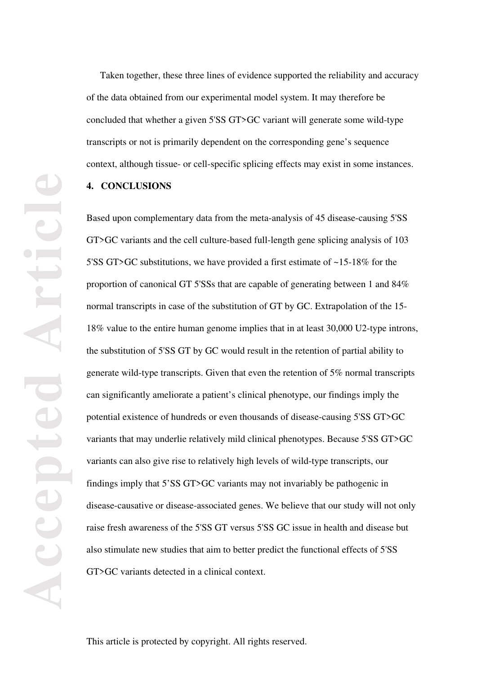Taken together, these three lines of evidence supported the reliability and accuracy of the data obtained from our experimental model system. It may therefore be concluded that whether a given 5'SS GT>GC variant will generate some wild-type transcripts or not is primarily dependent on the corresponding gene's sequence context, although tissue- or cell-specific splicing effects may exist in some instances.

# **4. CONCLUSIONS**

Based upon complementary data from the meta-analysis of 45 disease-causing 5'SS GT>GC variants and the cell culture-based full-length gene splicing analysis of 103 5'SS GT>GC substitutions, we have provided a first estimate of ~15-18% for the proportion of canonical GT 5'SSs that are capable of generating between 1 and 84% normal transcripts in case of the substitution of GT by GC. Extrapolation of the 15- 18% value to the entire human genome implies that in at least 30,000 U2-type introns, the substitution of 5'SS GT by GC would result in the retention of partial ability to generate wild-type transcripts. Given that even the retention of 5% normal transcripts can significantly ameliorate a patient's clinical phenotype, our findings imply the potential existence of hundreds or even thousands of disease-causing 5'SS GT>GC variants that may underlie relatively mild clinical phenotypes. Because 5'SS GT>GC variants can also give rise to relatively high levels of wild-type transcripts, our findings imply that 5'SS GT>GC variants may not invariably be pathogenic in disease-causative or disease-associated genes. We believe that our study will not only raise fresh awareness of the 5'SS GT versus 5'SS GC issue in health and disease but also stimulate new studies that aim to better predict the functional effects of 5'SS GT>GC variants detected in a clinical context.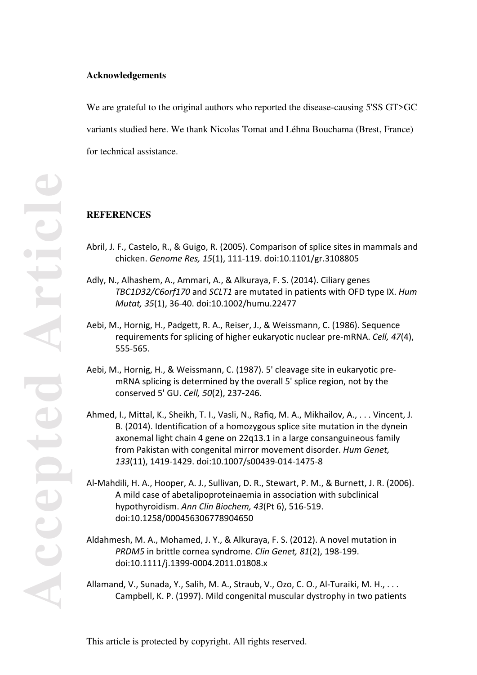#### **Acknowledgements**

We are grateful to the original authors who reported the disease-causing 5'SS GT>GC variants studied here. We thank Nicolas Tomat and Léhna Bouchama (Brest, France) for technical assistance.

# **REFERENCES**

- Abril, J. F., Castelo, R., & Guigo, R. (2005). Comparison of splice sites in mammals and chicken. *Genome Res, 15*(1), 111-119. doi:10.1101/gr.3108805
- Adly, N., Alhashem, A., Ammari, A., & Alkuraya, F. S. (2014). Ciliary genes *TBC1D32/C6orf170* and *SCLT1* are mutated in patients with OFD type IX. *Hum Mutat, 35*(1), 36-40. doi:10.1002/humu.22477
- Aebi, M., Hornig, H., Padgett, R. A., Reiser, J., & Weissmann, C. (1986). Sequence requirements for splicing of higher eukaryotic nuclear pre-mRNA. *Cell, 47*(4), 555-565.
- Aebi, M., Hornig, H., & Weissmann, C. (1987). 5' cleavage site in eukaryotic premRNA splicing is determined by the overall 5' splice region, not by the conserved 5' GU. *Cell, 50*(2), 237-246.
- Ahmed, I., Mittal, K., Sheikh, T. I., Vasli, N., Rafiq, M. A., Mikhailov, A., . . . Vincent, J. B. (2014). Identification of a homozygous splice site mutation in the dynein axonemal light chain 4 gene on 22q13.1 in a large consanguineous family from Pakistan with congenital mirror movement disorder. *Hum Genet, 133*(11), 1419-1429. doi:10.1007/s00439-014-1475-8
- Al-Mahdili, H. A., Hooper, A. J., Sullivan, D. R., Stewart, P. M., & Burnett, J. R. (2006). A mild case of abetalipoproteinaemia in association with subclinical hypothyroidism. *Ann Clin Biochem, 43*(Pt 6), 516-519. doi:10.1258/000456306778904650
- Aldahmesh, M. A., Mohamed, J. Y., & Alkuraya, F. S. (2012). A novel mutation in *PRDM5* in brittle cornea syndrome. *Clin Genet, 81*(2), 198-199. doi:10.1111/j.1399-0004.2011.01808.x
- Allamand, V., Sunada, Y., Salih, M. A., Straub, V., Ozo, C. O., Al-Turaiki, M. H., . . . Campbell, K. P. (1997). Mild congenital muscular dystrophy in two patients

**Accepted Article** rticl **PIOTE** ACCC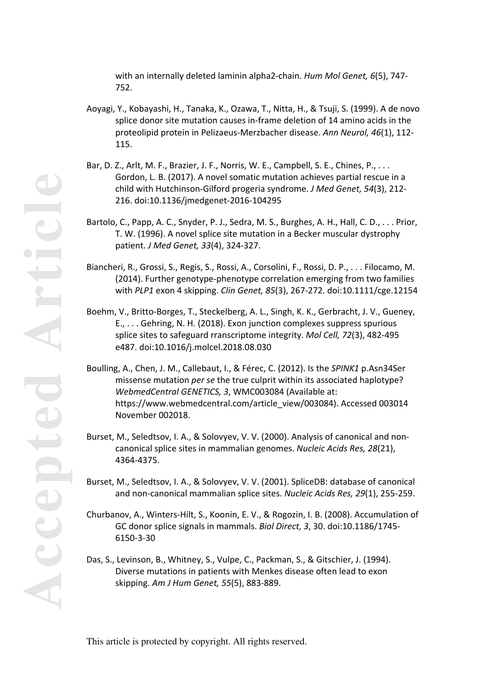with an internally deleted laminin alpha2-chain. *Hum Mol Genet, 6*(5), 747- 752.

- Aoyagi, Y., Kobayashi, H., Tanaka, K., Ozawa, T., Nitta, H., & Tsuji, S. (1999). A de novo splice donor site mutation causes in-frame deletion of 14 amino acids in the proteolipid protein in Pelizaeus-Merzbacher disease. *Ann Neurol, 46*(1), 112- 115.
- Bar, D. Z., Arlt, M. F., Brazier, J. F., Norris, W. E., Campbell, S. E., Chines, P., . . . Gordon, L. B. (2017). A novel somatic mutation achieves partial rescue in a child with Hutchinson-Gilford progeria syndrome. *J Med Genet, 54*(3), 212- 216. doi:10.1136/jmedgenet-2016-104295
- Bartolo, C., Papp, A. C., Snyder, P. J., Sedra, M. S., Burghes, A. H., Hall, C. D., . . . Prior, T. W. (1996). A novel splice site mutation in a Becker muscular dystrophy patient. *J Med Genet, 33*(4), 324-327.
- Biancheri, R., Grossi, S., Regis, S., Rossi, A., Corsolini, F., Rossi, D. P., . . . Filocamo, M. (2014). Further genotype-phenotype correlation emerging from two families with *PLP1* exon 4 skipping. *Clin Genet, 85*(3), 267-272. doi:10.1111/cge.12154
- Boehm, V., Britto-Borges, T., Steckelberg, A. L., Singh, K. K., Gerbracht, J. V., Gueney, E., . . . Gehring, N. H. (2018). Exon junction complexes suppress spurious splice sites to safeguard rranscriptome integrity. *Mol Cell, 72*(3), 482-495 e487. doi:10.1016/j.molcel.2018.08.030
- Boulling, A., Chen, J. M., Callebaut, I., & Férec, C. (2012). Is the *SPINK1* p.Asn34Ser missense mutation *per se* the true culprit within its associated haplotype? *WebmedCentral GENETICS, 3*, WMC003084 (Available at: https://www.webmedcentral.com/article\_view/003084). Accessed 003014 November 002018.
- Burset, M., Seledtsov, I. A., & Solovyev, V. V. (2000). Analysis of canonical and noncanonical splice sites in mammalian genomes. *Nucleic Acids Res, 28*(21), 4364-4375.
- Burset, M., Seledtsov, I. A., & Solovyev, V. V. (2001). SpliceDB: database of canonical and non-canonical mammalian splice sites. *Nucleic Acids Res, 29*(1), 255-259.
- Churbanov, A., Winters-Hilt, S., Koonin, E. V., & Rogozin, I. B. (2008). Accumulation of GC donor splice signals in mammals. *Biol Direct, 3*, 30. doi:10.1186/1745- 6150-3-30
- Das, S., Levinson, B., Whitney, S., Vulpe, C., Packman, S., & Gitschier, J. (1994). Diverse mutations in patients with Menkes disease often lead to exon skipping. *Am J Hum Genet, 55*(5), 883-889.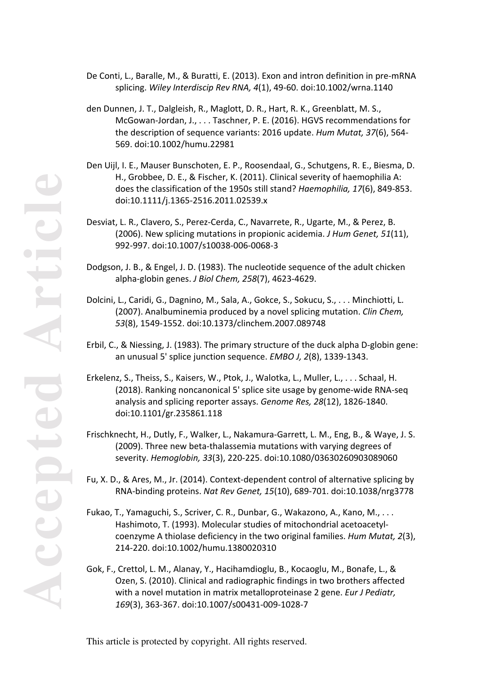- De Conti, L., Baralle, M., & Buratti, E. (2013). Exon and intron definition in pre-mRNA splicing. *Wiley Interdiscip Rev RNA, 4*(1), 49-60. doi:10.1002/wrna.1140
- den Dunnen, J. T., Dalgleish, R., Maglott, D. R., Hart, R. K., Greenblatt, M. S., McGowan-Jordan, J., . . . Taschner, P. E. (2016). HGVS recommendations for the description of sequence variants: 2016 update. *Hum Mutat, 37*(6), 564- 569. doi:10.1002/humu.22981
- Den Uijl, I. E., Mauser Bunschoten, E. P., Roosendaal, G., Schutgens, R. E., Biesma, D. H., Grobbee, D. E., & Fischer, K. (2011). Clinical severity of haemophilia A: does the classification of the 1950s still stand? *Haemophilia, 17*(6), 849-853. doi:10.1111/j.1365-2516.2011.02539.x
- Desviat, L. R., Clavero, S., Perez-Cerda, C., Navarrete, R., Ugarte, M., & Perez, B. (2006). New splicing mutations in propionic acidemia. *J Hum Genet, 51*(11), 992-997. doi:10.1007/s10038-006-0068-3
- Dodgson, J. B., & Engel, J. D. (1983). The nucleotide sequence of the adult chicken alpha-globin genes. *J Biol Chem, 258*(7), 4623-4629.
- Dolcini, L., Caridi, G., Dagnino, M., Sala, A., Gokce, S., Sokucu, S., . . . Minchiotti, L. (2007). Analbuminemia produced by a novel splicing mutation. *Clin Chem, 53*(8), 1549-1552. doi:10.1373/clinchem.2007.089748
- Erbil, C., & Niessing, J. (1983). The primary structure of the duck alpha D-globin gene: an unusual 5' splice junction sequence. *EMBO J, 2*(8), 1339-1343.
- Erkelenz, S., Theiss, S., Kaisers, W., Ptok, J., Walotka, L., Muller, L., . . . Schaal, H. (2018). Ranking noncanonical 5' splice site usage by genome-wide RNA-seq analysis and splicing reporter assays. *Genome Res, 28*(12), 1826-1840. doi:10.1101/gr.235861.118
- Frischknecht, H., Dutly, F., Walker, L., Nakamura-Garrett, L. M., Eng, B., & Waye, J. S. (2009). Three new beta-thalassemia mutations with varying degrees of severity. *Hemoglobin, 33*(3), 220-225. doi:10.1080/03630260903089060
- Fu, X. D., & Ares, M., Jr. (2014). Context-dependent control of alternative splicing by RNA-binding proteins. *Nat Rev Genet, 15*(10), 689-701. doi:10.1038/nrg3778
- Fukao, T., Yamaguchi, S., Scriver, C. R., Dunbar, G., Wakazono, A., Kano, M., . . . Hashimoto, T. (1993). Molecular studies of mitochondrial acetoacetylcoenzyme A thiolase deficiency in the two original families. *Hum Mutat, 2*(3), 214-220. doi:10.1002/humu.1380020310
- Gok, F., Crettol, L. M., Alanay, Y., Hacihamdioglu, B., Kocaoglu, M., Bonafe, L., & Ozen, S. (2010). Clinical and radiographic findings in two brothers affected with a novel mutation in matrix metalloproteinase 2 gene. *Eur J Pediatr, 169*(3), 363-367. doi:10.1007/s00431-009-1028-7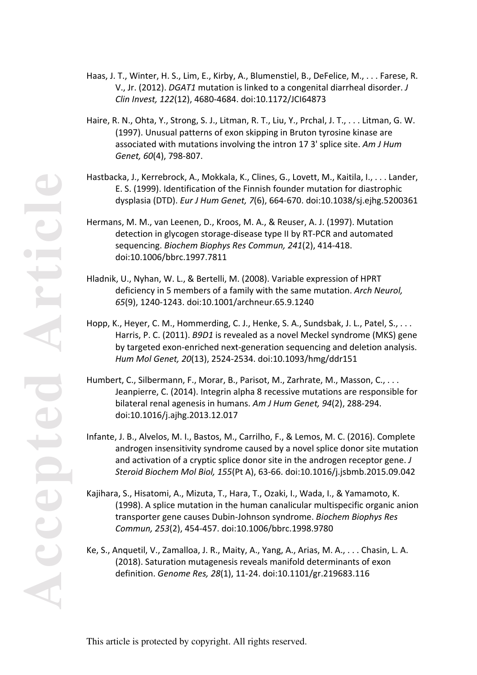- Haas, J. T., Winter, H. S., Lim, E., Kirby, A., Blumenstiel, B., DeFelice, M., . . . Farese, R. V., Jr. (2012). *DGAT1* mutation is linked to a congenital diarrheal disorder. *J Clin Invest, 122*(12), 4680-4684. doi:10.1172/JCI64873
- Haire, R. N., Ohta, Y., Strong, S. J., Litman, R. T., Liu, Y., Prchal, J. T., . . . Litman, G. W. (1997). Unusual patterns of exon skipping in Bruton tyrosine kinase are associated with mutations involving the intron 17 3' splice site. *Am J Hum Genet, 60*(4), 798-807.
- Hastbacka, J., Kerrebrock, A., Mokkala, K., Clines, G., Lovett, M., Kaitila, I., . . . Lander, E. S. (1999). Identification of the Finnish founder mutation for diastrophic dysplasia (DTD). *Eur J Hum Genet, 7*(6), 664-670. doi:10.1038/sj.ejhg.5200361
- Hermans, M. M., van Leenen, D., Kroos, M. A., & Reuser, A. J. (1997). Mutation detection in glycogen storage-disease type II by RT-PCR and automated sequencing. *Biochem Biophys Res Commun, 241*(2), 414-418. doi:10.1006/bbrc.1997.7811
- Hladnik, U., Nyhan, W. L., & Bertelli, M. (2008). Variable expression of HPRT deficiency in 5 members of a family with the same mutation. *Arch Neurol, 65*(9), 1240-1243. doi:10.1001/archneur.65.9.1240
- Hopp, K., Heyer, C. M., Hommerding, C. J., Henke, S. A., Sundsbak, J. L., Patel, S., . . . Harris, P. C. (2011). *B9D1* is revealed as a novel Meckel syndrome (MKS) gene by targeted exon-enriched next-generation sequencing and deletion analysis. *Hum Mol Genet, 20*(13), 2524-2534. doi:10.1093/hmg/ddr151
- Humbert, C., Silbermann, F., Morar, B., Parisot, M., Zarhrate, M., Masson, C., . . . Jeanpierre, C. (2014). Integrin alpha 8 recessive mutations are responsible for bilateral renal agenesis in humans. *Am J Hum Genet, 94*(2), 288-294. doi:10.1016/j.ajhg.2013.12.017
- Infante, J. B., Alvelos, M. I., Bastos, M., Carrilho, F., & Lemos, M. C. (2016). Complete androgen insensitivity syndrome caused by a novel splice donor site mutation and activation of a cryptic splice donor site in the androgen receptor gene. *J Steroid Biochem Mol Biol, 155*(Pt A), 63-66. doi:10.1016/j.jsbmb.2015.09.042
- Kajihara, S., Hisatomi, A., Mizuta, T., Hara, T., Ozaki, I., Wada, I., & Yamamoto, K. (1998). A splice mutation in the human canalicular multispecific organic anion transporter gene causes Dubin-Johnson syndrome. *Biochem Biophys Res Commun, 253*(2), 454-457. doi:10.1006/bbrc.1998.9780
- Ke, S., Anquetil, V., Zamalloa, J. R., Maity, A., Yang, A., Arias, M. A., . . . Chasin, L. A. (2018). Saturation mutagenesis reveals manifold determinants of exon definition. *Genome Res, 28*(1), 11-24. doi:10.1101/gr.219683.116

**Accepted Article**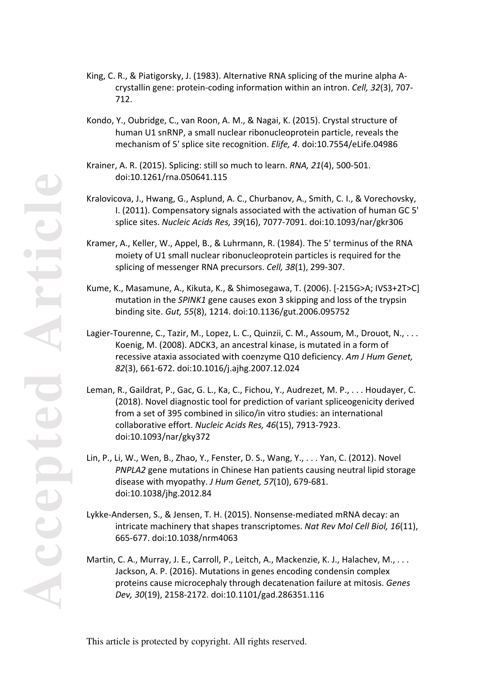- King, C. R., & Piatigorsky, J. (1983). Alternative RNA splicing of the murine alpha Acrystallin gene: protein-coding information within an intron. *Cell, 32*(3), 707- 712.
- Kondo, Y., Oubridge, C., van Roon, A. M., & Nagai, K. (2015). Crystal structure of human U1 snRNP, a small nuclear ribonucleoprotein particle, reveals the mechanism of 5' splice site recognition. *Elife, 4*. doi:10.7554/eLife.04986
- Krainer, A. R. (2015). Splicing: still so much to learn. *RNA, 21*(4), 500-501. doi:10.1261/rna.050641.115
- Kralovicova, J., Hwang, G., Asplund, A. C., Churbanov, A., Smith, C. I., & Vorechovsky, I. (2011). Compensatory signals associated with the activation of human GC 5' splice sites. *Nucleic Acids Res, 39*(16), 7077-7091. doi:10.1093/nar/gkr306
- Kramer, A., Keller, W., Appel, B., & Luhrmann, R. (1984). The 5' terminus of the RNA moiety of U1 small nuclear ribonucleoprotein particles is required for the splicing of messenger RNA precursors. *Cell, 38*(1), 299-307.
- Kume, K., Masamune, A., Kikuta, K., & Shimosegawa, T. (2006). [-215G>A; IVS3+2T>C] mutation in the *SPINK1* gene causes exon 3 skipping and loss of the trypsin binding site. *Gut, 55*(8), 1214. doi:10.1136/gut.2006.095752
- Lagier-Tourenne, C., Tazir, M., Lopez, L. C., Quinzii, C. M., Assoum, M., Drouot, N., ... Koenig, M. (2008). ADCK3, an ancestral kinase, is mutated in a form of recessive ataxia associated with coenzyme Q10 deficiency. *Am J Hum Genet, 82*(3), 661-672. doi:10.1016/j.ajhg.2007.12.024
- Leman, R., Gaildrat, P., Gac, G. L., Ka, C., Fichou, Y., Audrezet, M. P., . . . Houdayer, C. (2018). Novel diagnostic tool for prediction of variant spliceogenicity derived from a set of 395 combined in silico/in vitro studies: an international collaborative effort. *Nucleic Acids Res, 46*(15), 7913-7923. doi:10.1093/nar/gky372
- Lin, P., Li, W., Wen, B., Zhao, Y., Fenster, D. S., Wang, Y., . . . Yan, C. (2012). Novel *PNPLA2* gene mutations in Chinese Han patients causing neutral lipid storage disease with myopathy. *J Hum Genet, 57*(10), 679-681. doi:10.1038/jhg.2012.84
- Lykke-Andersen, S., & Jensen, T. H. (2015). Nonsense-mediated mRNA decay: an intricate machinery that shapes transcriptomes. *Nat Rev Mol Cell Biol, 16*(11), 665-677. doi:10.1038/nrm4063
- Martin, C. A., Murray, J. E., Carroll, P., Leitch, A., Mackenzie, K. J., Halachev, M., . . . Jackson, A. P. (2016). Mutations in genes encoding condensin complex proteins cause microcephaly through decatenation failure at mitosis. *Genes Dev, 30*(19), 2158-2172. doi:10.1101/gad.286351.116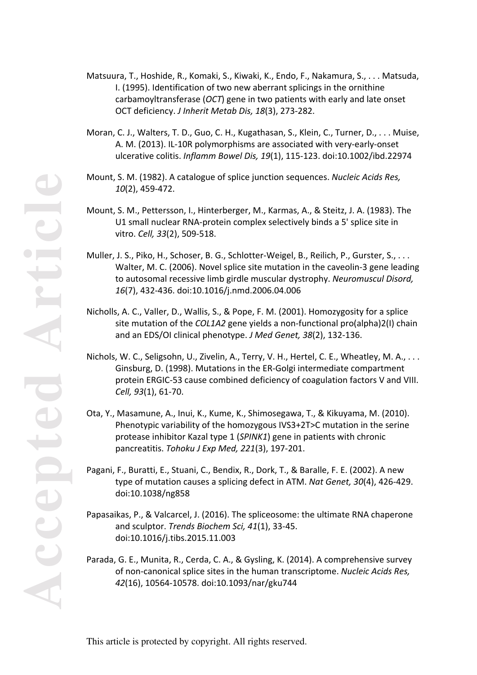- **Accepted Article** *10*(2), 459-472. Nichols, W. C., Seligsohn, U., Zivelin, A., Terry, V. H., Hertel, C. E., Wheatley, M. A., . . . Ginsburg, D. (1998). Mutations in the ER-Golgi intermediate compartment protein ERGIC-53 cause combined deficiency of coagulation factors V and VIII. *Cell, 93*(1), 61-70.
	- Ota, Y., Masamune, A., Inui, K., Kume, K., Shimosegawa, T., & Kikuyama, M. (2010). Phenotypic variability of the homozygous IVS3+2T>C mutation in the serine protease inhibitor Kazal type 1 (*SPINK1*) gene in patients with chronic pancreatitis. *Tohoku J Exp Med, 221*(3), 197-201.
	- Pagani, F., Buratti, E., Stuani, C., Bendix, R., Dork, T., & Baralle, F. E. (2002). A new type of mutation causes a splicing defect in ATM. *Nat Genet, 30*(4), 426-429. doi:10.1038/ng858
	- Papasaikas, P., & Valcarcel, J. (2016). The spliceosome: the ultimate RNA chaperone and sculptor. *Trends Biochem Sci, 41*(1), 33-45. doi:10.1016/j.tibs.2015.11.003
	- Parada, G. E., Munita, R., Cerda, C. A., & Gysling, K. (2014). A comprehensive survey of non-canonical splice sites in the human transcriptome. *Nucleic Acids Res, 42*(16), 10564-10578. doi:10.1093/nar/gku744
- Moran, C. J., Walters, T. D., Guo, C. H., Kugathasan, S., Klein, C., Turner, D., . . . Muise, A. M. (2013). IL-10R polymorphisms are associated with very-early-onset ulcerative colitis. *Inflamm Bowel Dis, 19*(1), 115-123. doi:10.1002/ibd.22974
- Mount, S. M. (1982). A catalogue of splice junction sequences. *Nucleic Acids Res,*
- Mount, S. M., Pettersson, I., Hinterberger, M., Karmas, A., & Steitz, J. A. (1983). The U1 small nuclear RNA-protein complex selectively binds a 5' splice site in vitro. *Cell, 33*(2), 509-518.
- Muller, J. S., Piko, H., Schoser, B. G., Schlotter-Weigel, B., Reilich, P., Gurster, S., . . . Walter, M. C. (2006). Novel splice site mutation in the caveolin-3 gene leading to autosomal recessive limb girdle muscular dystrophy. *Neuromuscul Disord, 16*(7), 432-436. doi:10.1016/j.nmd.2006.04.006
- Nicholls, A. C., Valler, D., Wallis, S., & Pope, F. M. (2001). Homozygosity for a splice site mutation of the *COL1A2* gene yields a non-functional pro(alpha)2(I) chain and an EDS/OI clinical phenotype. *J Med Genet, 38*(2), 132-136.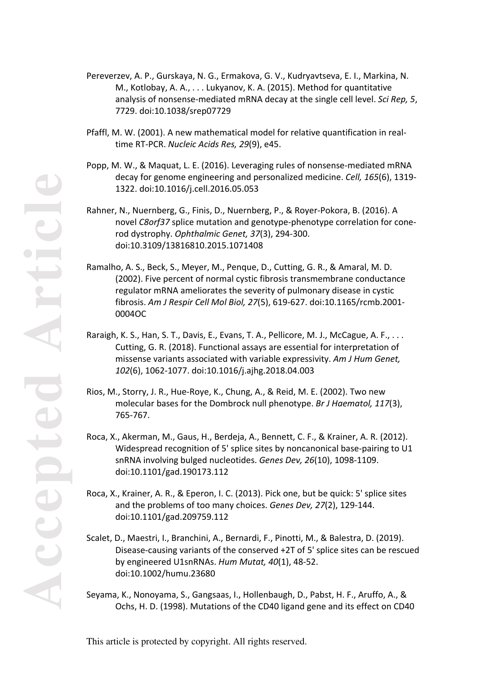- Pereverzev, A. P., Gurskaya, N. G., Ermakova, G. V., Kudryavtseva, E. I., Markina, N. M., Kotlobay, A. A., . . . Lukyanov, K. A. (2015). Method for quantitative analysis of nonsense-mediated mRNA decay at the single cell level. *Sci Rep, 5*, 7729. doi:10.1038/srep07729
- Pfaffl, M. W. (2001). A new mathematical model for relative quantification in realtime RT-PCR. *Nucleic Acids Res, 29*(9), e45.
- Popp, M. W., & Maquat, L. E. (2016). Leveraging rules of nonsense-mediated mRNA decay for genome engineering and personalized medicine. *Cell, 165*(6), 1319- 1322. doi:10.1016/j.cell.2016.05.053
- Rahner, N., Nuernberg, G., Finis, D., Nuernberg, P., & Royer-Pokora, B. (2016). A novel *C8orf37* splice mutation and genotype-phenotype correlation for conerod dystrophy. *Ophthalmic Genet, 37*(3), 294-300. doi:10.3109/13816810.2015.1071408
- Ramalho, A. S., Beck, S., Meyer, M., Penque, D., Cutting, G. R., & Amaral, M. D. (2002). Five percent of normal cystic fibrosis transmembrane conductance regulator mRNA ameliorates the severity of pulmonary disease in cystic fibrosis. *Am J Respir Cell Mol Biol, 27*(5), 619-627. doi:10.1165/rcmb.2001- 0004OC
- Raraigh, K. S., Han, S. T., Davis, E., Evans, T. A., Pellicore, M. J., McCague, A. F., . . . Cutting, G. R. (2018). Functional assays are essential for interpretation of missense variants associated with variable expressivity. *Am J Hum Genet, 102*(6), 1062-1077. doi:10.1016/j.ajhg.2018.04.003
- Rios, M., Storry, J. R., Hue-Roye, K., Chung, A., & Reid, M. E. (2002). Two new molecular bases for the Dombrock null phenotype. *Br J Haematol, 117*(3), 765-767.
- Roca, X., Akerman, M., Gaus, H., Berdeja, A., Bennett, C. F., & Krainer, A. R. (2012). Widespread recognition of 5' splice sites by noncanonical base-pairing to U1 snRNA involving bulged nucleotides. *Genes Dev, 26*(10), 1098-1109. doi:10.1101/gad.190173.112
- Roca, X., Krainer, A. R., & Eperon, I. C. (2013). Pick one, but be quick: 5' splice sites and the problems of too many choices. *Genes Dev, 27*(2), 129-144. doi:10.1101/gad.209759.112
- Scalet, D., Maestri, I., Branchini, A., Bernardi, F., Pinotti, M., & Balestra, D. (2019). Disease-causing variants of the conserved +2T of 5' splice sites can be rescued by engineered U1snRNAs. *Hum Mutat, 40*(1), 48-52. doi:10.1002/humu.23680
- Seyama, K., Nonoyama, S., Gangsaas, I., Hollenbaugh, D., Pabst, H. F., Aruffo, A., & Ochs, H. D. (1998). Mutations of the CD40 ligand gene and its effect on CD40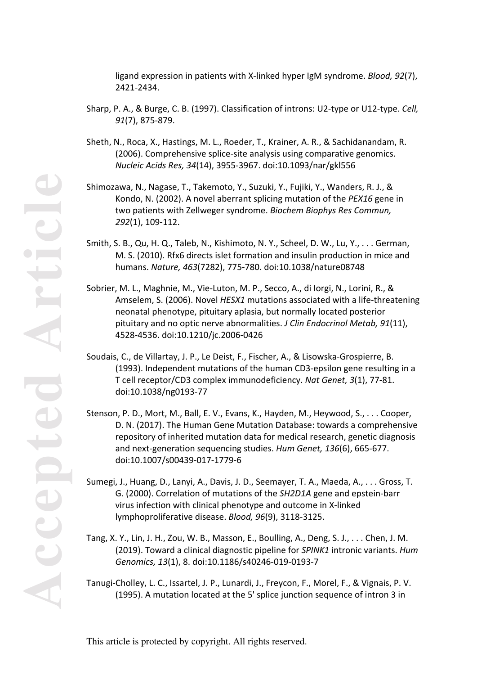**Accepted Article HIGE PCC** 

ligand expression in patients with X-linked hyper IgM syndrome. *Blood, 92*(7), 2421-2434.

- Sharp, P. A., & Burge, C. B. (1997). Classification of introns: U2-type or U12-type. *Cell, 91*(7), 875-879.
- Sheth, N., Roca, X., Hastings, M. L., Roeder, T., Krainer, A. R., & Sachidanandam, R. (2006). Comprehensive splice-site analysis using comparative genomics. *Nucleic Acids Res, 34*(14), 3955-3967. doi:10.1093/nar/gkl556
- Shimozawa, N., Nagase, T., Takemoto, Y., Suzuki, Y., Fujiki, Y., Wanders, R. J., & Kondo, N. (2002). A novel aberrant splicing mutation of the *PEX16* gene in two patients with Zellweger syndrome. *Biochem Biophys Res Commun, 292*(1), 109-112.
- Smith, S. B., Qu, H. Q., Taleb, N., Kishimoto, N. Y., Scheel, D. W., Lu, Y., . . . German, M. S. (2010). Rfx6 directs islet formation and insulin production in mice and humans. *Nature, 463*(7282), 775-780. doi:10.1038/nature08748
- Sobrier, M. L., Maghnie, M., Vie-Luton, M. P., Secco, A., di Iorgi, N., Lorini, R., & Amselem, S. (2006). Novel *HESX1* mutations associated with a life-threatening neonatal phenotype, pituitary aplasia, but normally located posterior pituitary and no optic nerve abnormalities. *J Clin Endocrinol Metab, 91*(11), 4528-4536. doi:10.1210/jc.2006-0426
- Soudais, C., de Villartay, J. P., Le Deist, F., Fischer, A., & Lisowska-Grospierre, B. (1993). Independent mutations of the human CD3-epsilon gene resulting in a T cell receptor/CD3 complex immunodeficiency. *Nat Genet, 3*(1), 77-81. doi:10.1038/ng0193-77
- Stenson, P. D., Mort, M., Ball, E. V., Evans, K., Hayden, M., Heywood, S., . . . Cooper, D. N. (2017). The Human Gene Mutation Database: towards a comprehensive repository of inherited mutation data for medical research, genetic diagnosis and next-generation sequencing studies. *Hum Genet, 136*(6), 665-677. doi:10.1007/s00439-017-1779-6
- Sumegi, J., Huang, D., Lanyi, A., Davis, J. D., Seemayer, T. A., Maeda, A., . . . Gross, T. G. (2000). Correlation of mutations of the *SH2D1A* gene and epstein-barr virus infection with clinical phenotype and outcome in X-linked lymphoproliferative disease. *Blood, 96*(9), 3118-3125.
- Tang, X. Y., Lin, J. H., Zou, W. B., Masson, E., Boulling, A., Deng, S. J., . . . Chen, J. M. (2019). Toward a clinical diagnostic pipeline for *SPINK1* intronic variants. *Hum Genomics, 13*(1), 8. doi:10.1186/s40246-019-0193-7
- Tanugi-Cholley, L. C., Issartel, J. P., Lunardi, J., Freycon, F., Morel, F., & Vignais, P. V. (1995). A mutation located at the 5' splice junction sequence of intron 3 in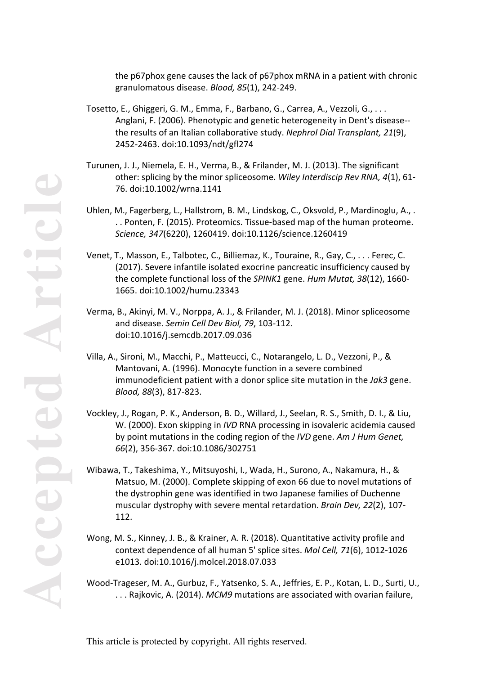**Accepted Article**

the p67phox gene causes the lack of p67phox mRNA in a patient with chronic granulomatous disease. *Blood, 85*(1), 242-249.

- Tosetto, E., Ghiggeri, G. M., Emma, F., Barbano, G., Carrea, A., Vezzoli, G., . . . Anglani, F. (2006). Phenotypic and genetic heterogeneity in Dent's disease- the results of an Italian collaborative study. *Nephrol Dial Transplant, 21*(9), 2452-2463. doi:10.1093/ndt/gfl274
- Turunen, J. J., Niemela, E. H., Verma, B., & Frilander, M. J. (2013). The significant other: splicing by the minor spliceosome. *Wiley Interdiscip Rev RNA, 4*(1), 61- 76. doi:10.1002/wrna.1141
- Uhlen, M., Fagerberg, L., Hallstrom, B. M., Lindskog, C., Oksvold, P., Mardinoglu, A., . . . Ponten, F. (2015). Proteomics. Tissue-based map of the human proteome. *Science, 347*(6220), 1260419. doi:10.1126/science.1260419
- Venet, T., Masson, E., Talbotec, C., Billiemaz, K., Touraine, R., Gay, C., . . . Ferec, C. (2017). Severe infantile isolated exocrine pancreatic insufficiency caused by the complete functional loss of the *SPINK1* gene. *Hum Mutat, 38*(12), 1660- 1665. doi:10.1002/humu.23343
- Verma, B., Akinyi, M. V., Norppa, A. J., & Frilander, M. J. (2018). Minor spliceosome and disease. *Semin Cell Dev Biol, 79*, 103-112. doi:10.1016/j.semcdb.2017.09.036
- Villa, A., Sironi, M., Macchi, P., Matteucci, C., Notarangelo, L. D., Vezzoni, P., & Mantovani, A. (1996). Monocyte function in a severe combined immunodeficient patient with a donor splice site mutation in the *Jak3* gene. *Blood, 88*(3), 817-823.
- Vockley, J., Rogan, P. K., Anderson, B. D., Willard, J., Seelan, R. S., Smith, D. I., & Liu, W. (2000). Exon skipping in *IVD* RNA processing in isovaleric acidemia caused by point mutations in the coding region of the *IVD* gene. *Am J Hum Genet, 66*(2), 356-367. doi:10.1086/302751
- Wibawa, T., Takeshima, Y., Mitsuyoshi, I., Wada, H., Surono, A., Nakamura, H., & Matsuo, M. (2000). Complete skipping of exon 66 due to novel mutations of the dystrophin gene was identified in two Japanese families of Duchenne muscular dystrophy with severe mental retardation. *Brain Dev, 22*(2), 107- 112.
- Wong, M. S., Kinney, J. B., & Krainer, A. R. (2018). Quantitative activity profile and context dependence of all human 5' splice sites. *Mol Cell, 71*(6), 1012-1026 e1013. doi:10.1016/j.molcel.2018.07.033
- Wood-Trageser, M. A., Gurbuz, F., Yatsenko, S. A., Jeffries, E. P., Kotan, L. D., Surti, U., . . . Rajkovic, A. (2014). *MCM9* mutations are associated with ovarian failure,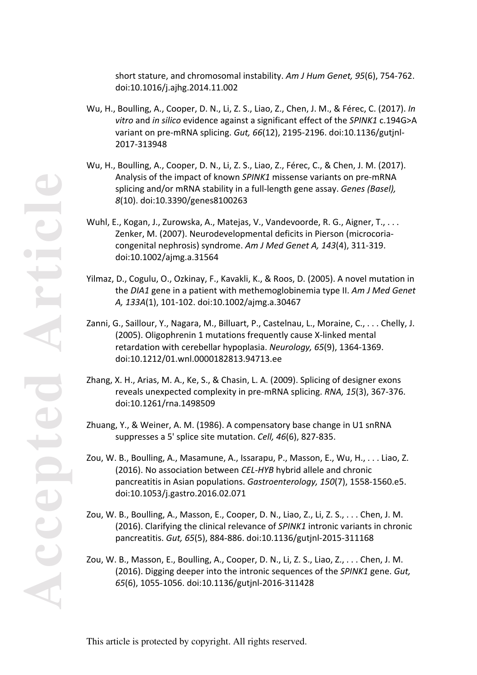short stature, and chromosomal instability. *Am J Hum Genet, 95*(6), 754-762. doi:10.1016/j.ajhg.2014.11.002

- Wu, H., Boulling, A., Cooper, D. N., Li, Z. S., Liao, Z., Chen, J. M., & Férec, C. (2017). *In vitro* and *in silico* evidence against a significant effect of the *SPINK1* c.194G>A variant on pre-mRNA splicing. *Gut, 66*(12), 2195-2196. doi:10.1136/gutjnl-2017-313948
- Wu, H., Boulling, A., Cooper, D. N., Li, Z. S., Liao, Z., Férec, C., & Chen, J. M. (2017). Analysis of the impact of known *SPINK1* missense variants on pre-mRNA splicing and/or mRNA stability in a full-length gene assay. *Genes (Basel), 8*(10). doi:10.3390/genes8100263
- Wuhl, E., Kogan, J., Zurowska, A., Matejas, V., Vandevoorde, R. G., Aigner, T., . . . Zenker, M. (2007). Neurodevelopmental deficits in Pierson (microcoriacongenital nephrosis) syndrome. *Am J Med Genet A, 143*(4), 311-319. doi:10.1002/ajmg.a.31564
- Yilmaz, D., Cogulu, O., Ozkinay, F., Kavakli, K., & Roos, D. (2005). A novel mutation in the *DIA1* gene in a patient with methemoglobinemia type II. *Am J Med Genet A, 133A*(1), 101-102. doi:10.1002/ajmg.a.30467
- Zanni, G., Saillour, Y., Nagara, M., Billuart, P., Castelnau, L., Moraine, C., . . . Chelly, J. (2005). Oligophrenin 1 mutations frequently cause X-linked mental retardation with cerebellar hypoplasia. *Neurology, 65*(9), 1364-1369. doi:10.1212/01.wnl.0000182813.94713.ee
- Zhang, X. H., Arias, M. A., Ke, S., & Chasin, L. A. (2009). Splicing of designer exons reveals unexpected complexity in pre-mRNA splicing. *RNA, 15*(3), 367-376. doi:10.1261/rna.1498509
- Zhuang, Y., & Weiner, A. M. (1986). A compensatory base change in U1 snRNA suppresses a 5' splice site mutation. *Cell, 46*(6), 827-835.
- Zou, W. B., Boulling, A., Masamune, A., Issarapu, P., Masson, E., Wu, H., . . . Liao, Z. (2016). No association between *CEL-HYB* hybrid allele and chronic pancreatitis in Asian populations. *Gastroenterology, 150*(7), 1558-1560.e5. doi:10.1053/j.gastro.2016.02.071
- Zou, W. B., Boulling, A., Masson, E., Cooper, D. N., Liao, Z., Li, Z. S., . . . Chen, J. M. (2016). Clarifying the clinical relevance of *SPINK1* intronic variants in chronic pancreatitis. *Gut, 65*(5), 884-886. doi:10.1136/gutjnl-2015-311168
- Zou, W. B., Masson, E., Boulling, A., Cooper, D. N., Li, Z. S., Liao, Z., . . . Chen, J. M. (2016). Digging deeper into the intronic sequences of the *SPINK1* gene. *Gut, 65*(6), 1055-1056. doi:10.1136/gutjnl-2016-311428

**Accepted Article** POCOOL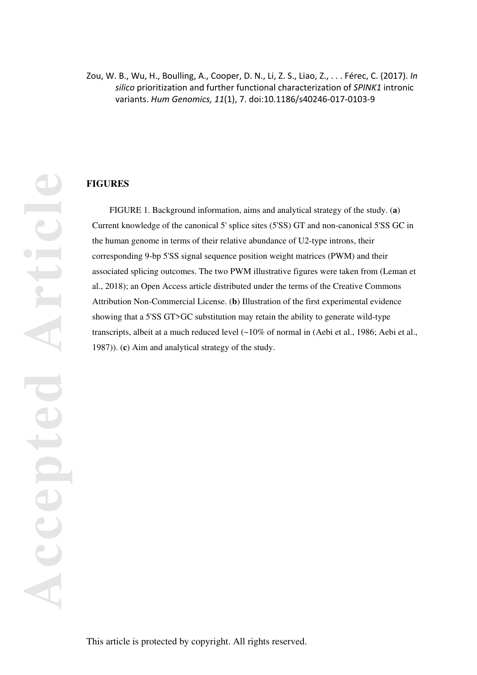# Zou, W. B., Wu, H., Boulling, A., Cooper, D. N., Li, Z. S., Liao, Z., . . . Férec, C. (2017). *In silico* prioritization and further functional characterization of *SPINK1* intronic variants. *Hum Genomics, 11*(1), 7. doi:10.1186/s40246-017-0103-9

# **FIGURES**

FIGURE 1. Background information, aims and analytical strategy of the study. (**a**) Current knowledge of the canonical 5' splice sites (5'SS) GT and non-canonical 5'SS GC in the human genome in terms of their relative abundance of U2-type introns, their corresponding 9-bp 5'SS signal sequence position weight matrices (PWM) and their associated splicing outcomes. The two PWM illustrative figures were taken from (Leman et al., 2018); an Open Access article distributed under the terms of the Creative Commons Attribution Non-Commercial License. (**b**) Illustration of the first experimental evidence showing that a 5'SS GT>GC substitution may retain the ability to generate wild-type transcripts, albeit at a much reduced level (~10% of normal in (Aebi et al., 1986; Aebi et al., 1987)). (**c**) Aim and analytical strategy of the study.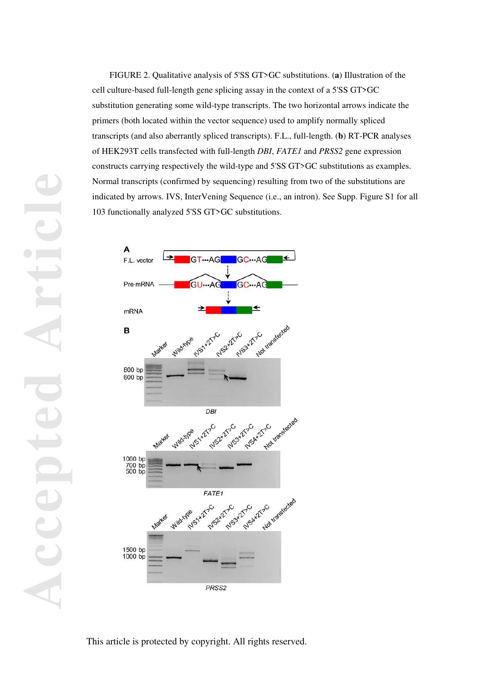FIGURE 2. Qualitative analysis of 5'SS GT>GC substitutions. (**a**) Illustration of the cell culture-based full-length gene splicing assay in the context of a 5'SS GT>GC substitution generating some wild-type transcripts. The two horizontal arrows indicate the primers (both located within the vector sequence) used to amplify normally spliced transcripts (and also aberrantly spliced transcripts). F.L., full-length. (**b**) RT-PCR analyses of HEK293T cells transfected with full-length *DBI*, *FATE1* and *PRSS2* gene expression constructs carrying respectively the wild-type and 5'SS GT>GC substitutions as examples. Normal transcripts (confirmed by sequencing) resulting from two of the substitutions are indicated by arrows. IVS, InterVening Sequence (i.e., an intron). See Supp. Figure S1 for all 103 functionally analyzed 5'SS GT>GC substitutions.



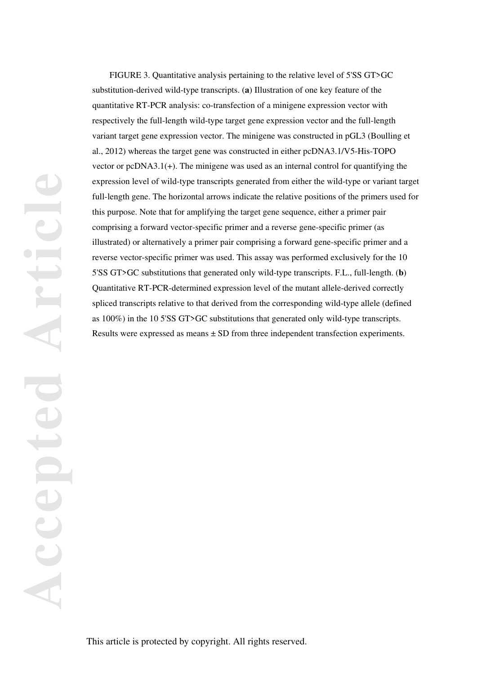FIGURE 3. Quantitative analysis pertaining to the relative level of 5'SS GT>GC substitution-derived wild-type transcripts. (**a**) Illustration of one key feature of the quantitative RT-PCR analysis: co-transfection of a minigene expression vector with respectively the full-length wild-type target gene expression vector and the full-length variant target gene expression vector. The minigene was constructed in pGL3 (Boulling et al., 2012) whereas the target gene was constructed in either pcDNA3.1/V5-His-TOPO vector or pcDNA3.1(+). The minigene was used as an internal control for quantifying the expression level of wild-type transcripts generated from either the wild-type or variant target full-length gene. The horizontal arrows indicate the relative positions of the primers used for this purpose. Note that for amplifying the target gene sequence, either a primer pair comprising a forward vector-specific primer and a reverse gene-specific primer (as illustrated) or alternatively a primer pair comprising a forward gene-specific primer and a reverse vector-specific primer was used. This assay was performed exclusively for the 10 5'SS GT>GC substitutions that generated only wild-type transcripts. F.L., full-length. (**b**) Quantitative RT-PCR-determined expression level of the mutant allele-derived correctly spliced transcripts relative to that derived from the corresponding wild-type allele (defined as 100%) in the 10 5'SS GT>GC substitutions that generated only wild-type transcripts. Results were expressed as means ± SD from three independent transfection experiments.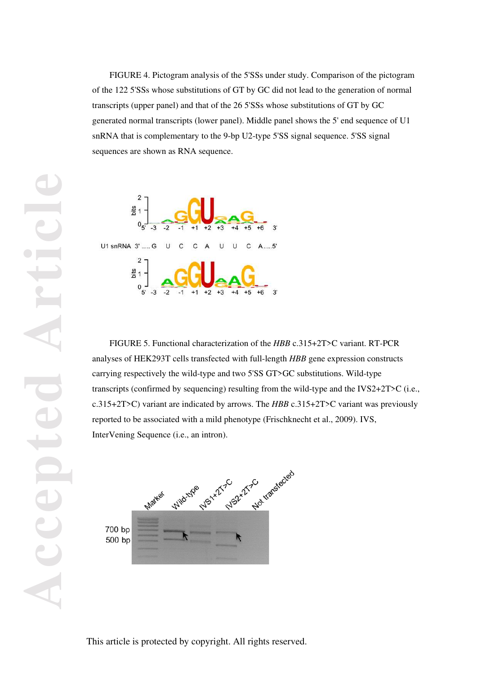FIGURE 4. Pictogram analysis of the 5'SSs under study. Comparison of the pictogram of the 122 5'SSs whose substitutions of GT by GC did not lead to the generation of normal transcripts (upper panel) and that of the 26 5'SSs whose substitutions of GT by GC generated normal transcripts (lower panel). Middle panel shows the 5' end sequence of U1 snRNA that is complementary to the 9-bp U2-type 5'SS signal sequence. 5'SS signal sequences are shown as RNA sequence.



FIGURE 5. Functional characterization of the *HBB* c.315+2T>C variant. RT-PCR analyses of HEK293T cells transfected with full-length *HBB* gene expression constructs carrying respectively the wild-type and two 5'SS GT>GC substitutions. Wild-type transcripts (confirmed by sequencing) resulting from the wild-type and the IVS2+2T>C (i.e., c.315+2T>C) variant are indicated by arrows. The *HBB* c.315+2T>C variant was previously reported to be associated with a mild phenotype (Frischknecht et al., 2009). IVS, InterVening Sequence (i.e., an intron).

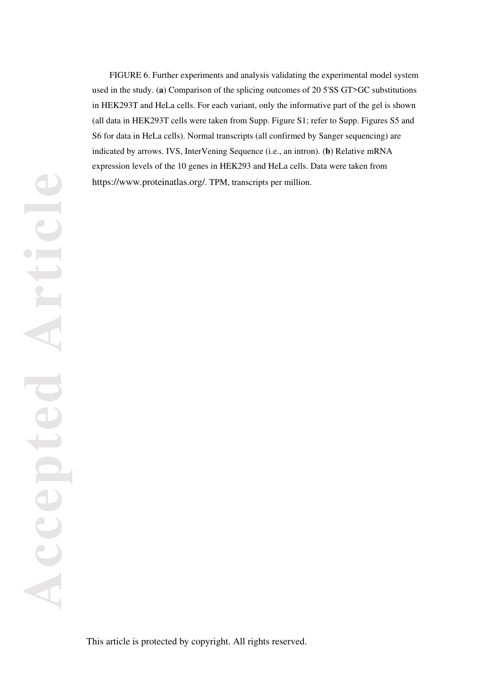FIGURE 6. Further experiments and analysis validating the experimental model system used in the study. (**a**) Comparison of the splicing outcomes of 20 5'SS GT>GC substitutions in HEK293T and HeLa cells. For each variant, only the informative part of the gel is shown (all data in HEK293T cells were taken from Supp. Figure S1; refer to Supp. Figures S5 and S6 for data in HeLa cells). Normal transcripts (all confirmed by Sanger sequencing) are indicated by arrows. IVS, InterVening Sequence (i.e., an intron). (**b**) Relative mRNA expression levels of the 10 genes in HEK293 and HeLa cells. Data were taken from https://www.proteinatlas.org/. TPM, transcripts per million.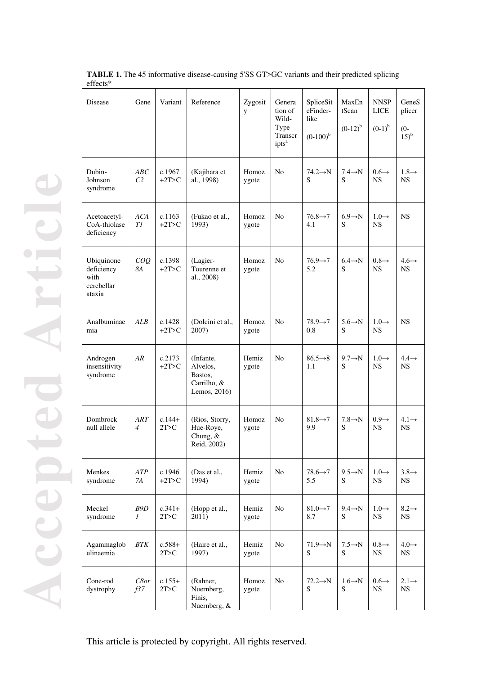| Disease                                                  | Gene                  | Variant             | Reference                                                       | Zygosit<br>y   | Genera<br>tion of<br>Wild-<br>Type<br>Transcr<br>ipts <sup>a</sup> | SpliceSit<br>eFinder-<br>like<br>$(0-100)^{b}$ | MaxEn<br>tScan<br>$(0-12)^{b}$ | <b>NNSP</b><br><b>LICE</b><br>$(0-1)^{b}$ | GeneS<br>plicer<br>$-0$<br>$15)^{b}$ |
|----------------------------------------------------------|-----------------------|---------------------|-----------------------------------------------------------------|----------------|--------------------------------------------------------------------|------------------------------------------------|--------------------------------|-------------------------------------------|--------------------------------------|
| Dubin-<br>Johnson<br>syndrome                            | ABC<br>C <sub>2</sub> | c.1967<br>$+2T>C$   | (Kajihara et<br>al., 1998)                                      | Homoz<br>ygote | N <sub>o</sub>                                                     | $74.2 \rightarrow N$<br>S                      | $7.4 \rightarrow N$<br>S       | $0.6 \rightarrow$<br><b>NS</b>            | $1.8 \rightarrow$<br><b>NS</b>       |
| Acetoacetyl-<br>CoA-thiolase<br>deficiency               | ACA<br>TI             | c.1163<br>$+2T>C$   | (Fukao et al.,<br>1993)                                         | Homoz<br>ygote | N <sub>o</sub>                                                     | $76.8 \rightarrow 7$<br>4.1                    | $6.9 \rightarrow N$<br>S       | $1.0 \rightarrow$<br><b>NS</b>            | <b>NS</b>                            |
| Ubiquinone<br>deficiency<br>with<br>cerebellar<br>ataxia | COQ<br>8A             | c.1398<br>$+2T > C$ | (Lagier-<br>Tourenne et<br>al., 2008)                           | Homoz<br>ygote | N <sub>o</sub>                                                     | $76.9 \rightarrow 7$<br>5.2                    | $6.4 \rightarrow N$<br>S       | $0.8 \rightarrow$<br><b>NS</b>            | $4.6 \rightarrow$<br><b>NS</b>       |
| Analbuminae<br>mia                                       | ALB                   | c.1428<br>$+2T>C$   | (Dolcini et al.,<br>2007)                                       | Homoz<br>ygote | No                                                                 | $78.9 \rightarrow 7$<br>0.8                    | $5.6 \rightarrow N$<br>S       | $1.0 \rightarrow$<br>NS.                  | <b>NS</b>                            |
| Androgen<br>insensitivity<br>syndrome                    | AR                    | c.2173<br>$+2T > C$ | (Infante,<br>Alvelos,<br>Bastos,<br>Carrilho, &<br>Lemos, 2016) | Hemiz<br>ygote | N <sub>o</sub>                                                     | $86.5 \rightarrow 8$<br>1.1                    | $9.7 \rightarrow N$<br>S       | $1.0 \rightarrow$<br><b>NS</b>            | $4.4 \rightarrow$<br><b>NS</b>       |
| Dombrock<br>null allele                                  | ART<br>$\overline{4}$ | $c.144+$<br>2T>C    | (Rios, Storry,<br>Hue-Roye,<br>Chung, &<br>Reid, 2002)          | Homoz<br>ygote | No                                                                 | $81.8 \rightarrow 7$<br>9.9                    | $7.8 \rightarrow N$<br>S       | $0.9 \rightarrow$<br><b>NS</b>            | $4.1 \rightarrow$<br>NS.             |
| Menkes<br>syndrome                                       | ATP<br>7A             | c.1946<br>$+2T > C$ | (Das et al.,<br>1994)                                           | Hemiz<br>ygote | N <sub>o</sub>                                                     | $78.6 \rightarrow 7$<br>5.5                    | $9.5 \rightarrow N$<br>S       | $1.0 \rightarrow$<br>NS                   | $3.8 \rightarrow$<br><b>NS</b>       |
| Meckel<br>syndrome                                       | B9D<br>$\mathcal{I}$  | $c.341+$<br>2T>C    | (Hopp et al.,<br>2011)                                          | Hemiz<br>ygote | N <sub>o</sub>                                                     | $81.0 \rightarrow 7$<br>8.7                    | $9.4 \rightarrow N$<br>S       | $1.0 \rightarrow$<br>NS                   | $8.2 \rightarrow$<br><b>NS</b>       |
| Agammaglob<br>ulinaemia                                  | BTK                   | $c.588+$<br>2T>C    | (Haire et al.,<br>1997)                                         | Hemiz<br>ygote | N <sub>o</sub>                                                     | $71.9 \rightarrow N$<br>S                      | $7.5 \rightarrow N$<br>S       | $0.8 \rightarrow$<br><b>NS</b>            | $4.0 \rightarrow$<br><b>NS</b>       |
| Cone-rod<br>dystrophy                                    | C8or<br>f37           | $c.155+$<br>2T>C    | (Rahner,<br>Nuernberg,<br>Finis,<br>Nuernberg, &                | Homoz<br>ygote | N <sub>o</sub>                                                     | $72.2 \rightarrow N$<br>S                      | $1.6 \rightarrow N$<br>S       | $0.6 \rightarrow$<br>NS                   | $2.1 \rightarrow$<br><b>NS</b>       |

**TABLE 1.** The 45 informative disease-causing 5'SS GT>GC variants and their predicted splicing effects\*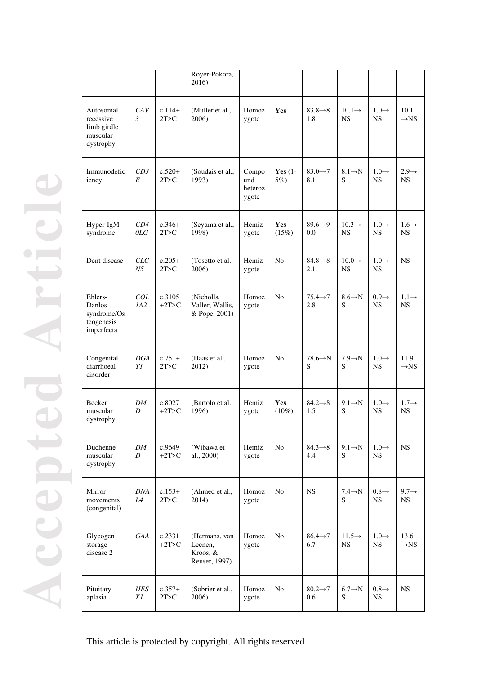|                                                                |            |                     | Royer-Pokora,<br>2016)                                |                                  |                     |                             |                                 |                                |                                |
|----------------------------------------------------------------|------------|---------------------|-------------------------------------------------------|----------------------------------|---------------------|-----------------------------|---------------------------------|--------------------------------|--------------------------------|
| Autosomal<br>recessive<br>limb girdle<br>muscular<br>dystrophy | CAV<br>3   | $c.114+$<br>2T>C    | (Muller et al.,<br>2006)                              | Homoz<br>ygote                   | Yes                 | $83.8 \rightarrow 8$<br>1.8 | $10.1 \rightarrow$<br><b>NS</b> | $1.0 \rightarrow$<br>NS.       | 10.1<br>$\rightarrow$ NS       |
| Immunodefic<br>iency                                           | CD3<br>E   | $c.520+$<br>2T>C    | (Soudais et al.,<br>1993)                             | Compo<br>und<br>heteroz<br>ygote | Yes $(1 -$<br>5%)   | $83.0 \rightarrow 7$<br>8.1 | $8.1 \rightarrow N$<br>S        | $1.0 \rightarrow$<br><b>NS</b> | $2.9 \rightarrow$<br>NS.       |
| Hyper-IgM<br>syndrome                                          | CD4<br>OLG | $c.346+$<br>2T>C    | (Seyama et al.,<br>1998)                              | Hemiz<br>ygote                   | <b>Yes</b><br>(15%) | $89.6 \rightarrow 9$<br>0.0 | $10.3 \rightarrow$<br><b>NS</b> | $1.0 \rightarrow$<br><b>NS</b> | $1.6 \rightarrow$<br>NS.       |
| Dent disease                                                   | CLC<br>N5  | $c.205+$<br>2T>C    | (Tosetto et al.,<br>2006)                             | Hemiz<br>ygote                   | No                  | $84.8 \rightarrow 8$<br>2.1 | $10.0 \rightarrow$<br><b>NS</b> | $1.0 \rightarrow$<br><b>NS</b> | <b>NS</b>                      |
| Ehlers-<br>Danlos<br>syndrome/Os<br>teogenesis<br>imperfecta   | COL<br>IA2 | c.3105<br>$+2T>C$   | (Nicholls,<br>Valler, Wallis,<br>& Pope, 2001)        | Homoz<br>ygote                   | No                  | $75.4 \rightarrow 7$<br>2.8 | $8.6 \rightarrow N$<br>S        | $0.9 \rightarrow$<br><b>NS</b> | $1.1 \rightarrow$<br><b>NS</b> |
| Congenital<br>diarrhoeal<br>disorder                           | DGA<br>TI  | $c.751+$<br>2T>C    | (Haas et al.,<br>2012)                                | Homoz<br>ygote                   | No                  | $78.6 \rightarrow N$<br>S   | $7.9 \rightarrow N$<br>S        | $1.0 \rightarrow$<br>NS.       | 11.9<br>$\rightarrow$ NS       |
| <b>Becker</b><br>muscular<br>dystrophy                         | DM<br>D    | c.8027<br>$+2T>C$   | (Bartolo et al.,<br>1996)                             | Hemiz<br>ygote                   | Yes<br>$(10\%)$     | $84.2 \rightarrow 8$<br>1.5 | $9.1 \rightarrow N$<br>S        | $1.0 \rightarrow$<br><b>NS</b> | $1.7 \rightarrow$<br><b>NS</b> |
| Duchenne<br>muscular<br>dystrophy                              | DM<br>D    | c.9649<br>$+2T>C$   | (Wibawa et<br>al., 2000)                              | Hemiz<br>ygote                   | No                  | $84.3 \rightarrow 8$<br>4.4 | $9.1 \rightarrow N$<br>S        | $1.0 \rightarrow$<br>NS.       | <b>NS</b>                      |
| Mirror<br>movements<br>(congenital)                            | DNA<br>L4  | $c.153+$<br>2T>C    | (Ahmed et al.,<br>2014)                               | Homoz<br>ygote                   | No                  | <b>NS</b>                   | $7.4 \rightarrow N$<br>S        | $0.8 \rightarrow$<br><b>NS</b> | $9.7 \rightarrow$<br><b>NS</b> |
| Glycogen<br>storage<br>disease 2                               | GAA        | c.2331<br>$+2T > C$ | (Hermans, van<br>Leenen,<br>Kroos, &<br>Reuser, 1997) | Homoz<br>ygote                   | No                  | $86.4 \rightarrow 7$<br>6.7 | $11.5 \rightarrow$<br><b>NS</b> | $1.0 \rightarrow$<br><b>NS</b> | 13.6<br>$\rightarrow$ NS       |
| Pituitary<br>aplasia                                           | HES<br>X1  | $c.357+$<br>2T>C    | (Sobrier et al.,<br>2006)                             | Homoz<br>ygote                   | No.                 | $80.2 \rightarrow 7$<br>0.6 | $6.7 \rightarrow N$<br>S        | $0.8 \rightarrow$<br>NS        | NS.                            |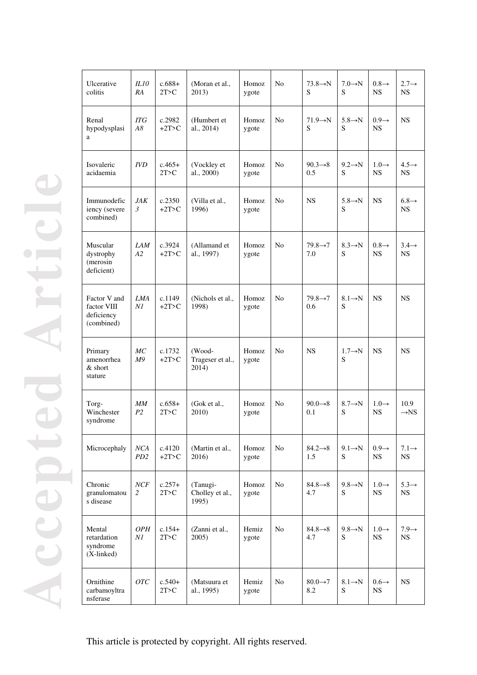| Ulcerative<br>colitis                                    | IL10<br>RA             | $c.688+$<br>2T>C    | (Moran et al.,<br>2013)              | Homoz<br>ygote | No. | $73.8 \rightarrow N$<br>S   | $7.0 \rightarrow N$<br>S  | $0.8 \rightarrow$<br><b>NS</b> | $2.7 \rightarrow$<br><b>NS</b> |
|----------------------------------------------------------|------------------------|---------------------|--------------------------------------|----------------|-----|-----------------------------|---------------------------|--------------------------------|--------------------------------|
| Renal<br>hypodysplasi<br>a                               | <b>ITG</b><br>A8       | c.2982<br>$+2T > C$ | (Humbert et<br>al., 2014)            | Homoz<br>ygote | No. | $71.9 \rightarrow N$<br>S   | $5.8 \rightarrow N$<br>S  | $0.9 \rightarrow$<br><b>NS</b> | <b>NS</b>                      |
| Isovaleric<br>acidaemia                                  | <i>IVD</i>             | $c.465+$<br>2T>C    | (Vockley et<br>al., 2000)            | Homoz<br>ygote | No. | $90.3 \rightarrow 8$<br>0.5 | $9.2 \rightarrow N$<br>S  | $1.0 \rightarrow$<br>NS.       | $4.5 \rightarrow$<br>NS.       |
| Immunodefic<br>iency (severe<br>combined)                | JAK<br>3               | c.2350<br>$+2T>C$   | (Villa et al.,<br>1996)              | Homoz<br>ygote | No  | <b>NS</b>                   | $5.8 \rightarrow N$<br>S  | <b>NS</b>                      | $6.8 \rightarrow$<br>NS.       |
| Muscular<br>dystrophy<br>(merosin<br>deficient)          | <b>LAM</b><br>A2       | c.3924<br>$+2T>C$   | (Allamand et<br>al., 1997)           | Homoz<br>ygote | No. | $79.8 \rightarrow 7$<br>7.0 | $8.3 \rightarrow N$<br>S  | $0.8 \rightarrow$<br><b>NS</b> | $3.4 \rightarrow$<br>NS.       |
| Factor V and<br>factor VIII<br>deficiency<br>(combined)  | <b>LMA</b><br>Νl       | c.1149<br>$+2T>C$   | (Nichols et al.,<br>1998)            | Homoz<br>ygote | No. | $79.8 \rightarrow 7$<br>0.6 | $8.1 \rightarrow N$<br>S  | <b>NS</b>                      | <b>NS</b>                      |
| Primary<br>amenorrhea<br>& short<br>stature              | MC<br>M9               | c.1732<br>$+2T > C$ | (Wood-<br>Trageser et al.,<br>2014)  | Homoz<br>ygote | No. | <b>NS</b>                   | $1.7 \rightarrow N$<br>S  | <b>NS</b>                      | <b>NS</b>                      |
| Torg-<br>Winchester<br>syndrome                          | MM<br>P <sub>2</sub>   | $c.658+$<br>2T>C    | (Gok et al.,<br>2010)                | Homoz<br>ygote | No. | $90.0 \rightarrow 8$<br>0.1 | $8.7 \rightarrow N$<br>S  | $1.0 \rightarrow$<br><b>NS</b> | 10.9<br>$\rightarrow$ NS       |
| Microcephaly                                             | NCA<br>PD <sub>2</sub> | c.4120<br>$+2T > C$ | (Martin et al.,<br>2016)             | Homoz<br>ygote | No  | $84.2 \rightarrow 8$<br>1.5 | $9.1 \rightarrow N$<br>S  | $0.9 \rightarrow$<br>NS        | $7.1 \rightarrow$<br><b>NS</b> |
| Chronic<br>granulomatou<br>s disease                     | NCF<br>2               | $c.257+$<br>2T>C    | (Tanugi-<br>Cholley et al.,<br>1995) | Homoz<br>ygote | No  | $84.8 \rightarrow 8$<br>4.7 | $9.8 \rightarrow N$<br>S  | $1.0 \rightarrow$<br><b>NS</b> | $5.3 \rightarrow$<br><b>NS</b> |
| Mental<br>retardation<br>syndrome<br>$(X\text{-linked})$ | <b>OPH</b><br>NI       | $c.154+$<br>2T>C    | (Zanni et al.,<br>2005)              | Hemiz<br>ygote | No  | $84.8 \rightarrow 8$<br>4.7 | $9.8 \rightarrow N$<br>S. | $1.0 \rightarrow$<br>NS        | $7.9 \rightarrow$<br><b>NS</b> |
| Ornithine<br>carbamoyltra<br>nsferase                    | OTC                    | $c.540+$<br>2T>C    | (Matsuura et<br>al., 1995)           | Hemiz<br>ygote | No  | $80.0 \rightarrow 7$<br>8.2 | $8.1 \rightarrow N$<br>S  | $0.6 \rightarrow$<br><b>NS</b> | <b>NS</b>                      |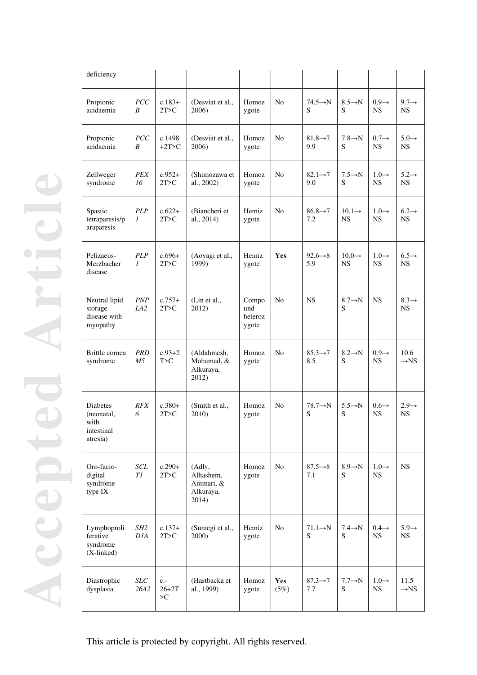| deficiency                                                      |                              |                          |                                                        |                                  |                |                             |                                 |                                |                                |
|-----------------------------------------------------------------|------------------------------|--------------------------|--------------------------------------------------------|----------------------------------|----------------|-----------------------------|---------------------------------|--------------------------------|--------------------------------|
| Propionic<br>acidaemia                                          | PCC<br>B                     | $c.183+$<br>2T>C         | (Desviat et al.,<br>2006)                              | Homoz<br>ygote                   | N <sub>o</sub> | $74.5 \rightarrow N$<br>S   | $8.5 \rightarrow N$<br>S        | $0.9 \rightarrow$<br><b>NS</b> | $9.7 \rightarrow$<br><b>NS</b> |
| Propionic<br>acidaemia                                          | <b>PCC</b><br>B              | c.1498<br>$+2T > C$      | (Desviat et al.,<br>2006)                              | Homoz<br>ygote                   | N <sub>o</sub> | $81.8 \rightarrow 7$<br>9.9 | $7.8 \rightarrow N$<br>S        | $0.7 \rightarrow$<br><b>NS</b> | $5.0 \rightarrow$<br><b>NS</b> |
| Zellweger<br>syndrome                                           | <b>PEX</b><br>16             | $c.952+$<br>2T>C         | (Shimozawa et<br>al., 2002)                            | Homoz<br>ygote                   | N <sub>o</sub> | $82.1 \rightarrow 7$<br>9.0 | $7.5 \rightarrow N$<br>S        | $1.0 \rightarrow$<br>NS        | $5.2 \rightarrow$<br><b>NS</b> |
| Spastic<br>tetraparesis/p<br>araparesis                         | <b>PLP</b><br>1              | $c.622+$<br>2T>C         | (Biancheri et<br>al., 2014)                            | Hemiz<br>ygote                   | No             | $86.8 \rightarrow 7$<br>7.2 | $10.1 \rightarrow$<br>NS.       | $1.0 \rightarrow$<br>NS.       | $6.2 \rightarrow$<br>NS.       |
| Pelizaeus-<br>Merzbacher<br>disease                             | <b>PLP</b><br>$\mathfrak{I}$ | $c.696+$<br>2T > C       | (Aoyagi et al.,<br>1999)                               | Hemiz<br>ygote                   | <b>Yes</b>     | $92.6 \rightarrow 8$<br>5.9 | $10.0 \rightarrow$<br><b>NS</b> | $1.0 \rightarrow$<br><b>NS</b> | $6.5 \rightarrow$<br><b>NS</b> |
| Neutral lipid<br>storage<br>disease with<br>myopathy            | <b>PNP</b><br>LA2            | $c.757+$<br>2T>C         | (Lin et al.,<br>2012)                                  | Compo<br>und<br>heteroz<br>ygote | No.            | NS.                         | $8.7 \rightarrow N$<br>S        | NS.                            | $8.3 \rightarrow$<br>NS.       |
| Brittle cornea<br>syndrome                                      | <b>PRD</b><br>M5             | $c.93+2$<br>T>C          | (Aldahmesh,<br>Mohamed, &<br>Alkuraya,<br>2012)        | Homoz<br>ygote                   | No             | $85.3 \rightarrow 7$<br>8.5 | $8.2 \rightarrow N$<br>S        | $0.9 \rightarrow$<br><b>NS</b> | 10.6<br>$\rightarrow$ NS       |
| <b>Diabetes</b><br>(neonatal,<br>with<br>intestinal<br>atresia) | <i>RFX</i><br>6              | $c.380+$<br>2T>C         | (Smith et al.,<br>2010)                                | Homoz<br>ygote                   | No.            | $78.7 \rightarrow N$<br>S   | $5.5 \rightarrow N$<br>S        | $0.6 \rightarrow$<br><b>NS</b> | $2.9 \rightarrow$<br><b>NS</b> |
| Oro-facio-<br>digital<br>syndrome<br>type IX                    | SCL<br>T1                    | $c.290+$<br>2T>C         | (Adly,<br>Alhashem,<br>Ammari, &<br>Alkuraya,<br>2014) | Homoz<br>ygote                   | No             | $87.5 \rightarrow 8$<br>7.1 | $8.9 \rightarrow N$<br>S        | $1.0 \rightarrow$<br><b>NS</b> | NS                             |
| Lymphoproli<br>ferative<br>syndrome<br>(X-linked)               | SH2<br>DIA                   | $c.137+$<br>2T>C         | (Sumegi et al.,<br>2000)                               | Hemiz<br>ygote                   | No             | $71.1 \rightarrow N$<br>S   | $7.4 \rightarrow N$<br>S        | $0.4 \rightarrow$<br>NS        | $5.9 \rightarrow$<br>NS        |
| Diastrophic<br>dysplasia                                        | <b>SLC</b><br>26A2           | $c -$<br>$26 + 2T$<br>>C | (Hastbacka et<br>al., 1999)                            | Homoz<br>ygote                   | Yes<br>(5%)    | $87.3 \rightarrow 7$<br>7.7 | $7.7 \rightarrow N$<br>S        | $1.0 \rightarrow$<br>NS        | 11.5<br>$\rightarrow$ NS       |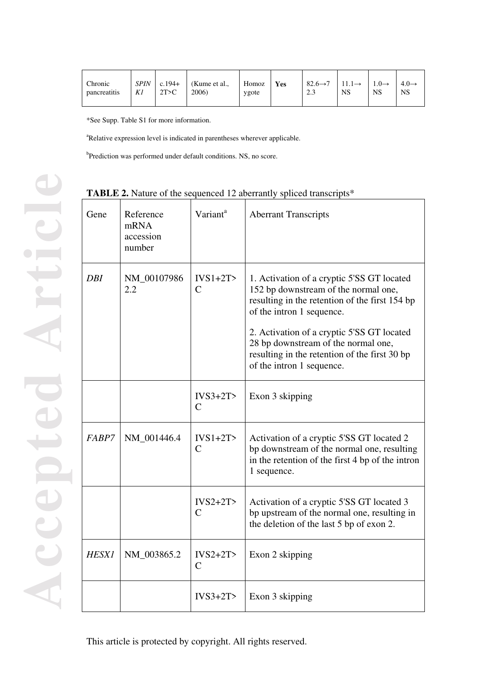| Chronic<br>pancreatitis | SPIN<br>K1 | $c.194+$<br>2T > C | Kume et al.,<br>2006) | Homoz<br>ygote | Yes | $82.6 \rightarrow 7$<br>2.3 | <b>NS</b> | $1.0 \rightarrow$<br>NS | $4.0 \rightarrow$<br>NS |
|-------------------------|------------|--------------------|-----------------------|----------------|-----|-----------------------------|-----------|-------------------------|-------------------------|
|-------------------------|------------|--------------------|-----------------------|----------------|-----|-----------------------------|-----------|-------------------------|-------------------------|

\*See Supp. Table S1 for more information.

<sup>a</sup>Relative expression level is indicated in parentheses wherever applicable.

<sup>b</sup>Prediction was performed under default conditions. NS, no score.

# **TABLE 2.** Nature of the sequenced 12 aberrantly spliced transcripts\*

| Gene         | Reference<br>mRNA<br>accession<br>number | Variant <sup>a</sup>                     | <b>Aberrant Transcripts</b>                                                                                                                                                                                                                                                                                                          |
|--------------|------------------------------------------|------------------------------------------|--------------------------------------------------------------------------------------------------------------------------------------------------------------------------------------------------------------------------------------------------------------------------------------------------------------------------------------|
| <b>DBI</b>   | NM_00107986<br>2.2                       | $IVS1+2T$<br>C                           | 1. Activation of a cryptic 5'SS GT located<br>152 bp downstream of the normal one,<br>resulting in the retention of the first 154 bp<br>of the intron 1 sequence.<br>2. Activation of a cryptic 5'SS GT located<br>28 bp downstream of the normal one,<br>resulting in the retention of the first 30 bp<br>of the intron 1 sequence. |
|              |                                          | $IVS3+2T$<br>$\overline{C}$              | Exon 3 skipping                                                                                                                                                                                                                                                                                                                      |
| FABP7        | NM_001446.4                              | $IVS1+2T$<br>$\mathcal{C}$               | Activation of a cryptic 5'SS GT located 2<br>bp downstream of the normal one, resulting<br>in the retention of the first 4 bp of the intron<br>1 sequence.                                                                                                                                                                           |
|              |                                          | $IVS2+2T$<br>$\mathcal{C}$               | Activation of a cryptic 5'SS GT located 3<br>bp upstream of the normal one, resulting in<br>the deletion of the last 5 bp of exon 2.                                                                                                                                                                                                 |
| <b>HESX1</b> | NM_003865.2                              | $IVS2+2T$<br>$\mathcal{C}_{\mathcal{C}}$ | Exon 2 skipping                                                                                                                                                                                                                                                                                                                      |
|              |                                          | $IVS3+2T$                                | Exon 3 skipping                                                                                                                                                                                                                                                                                                                      |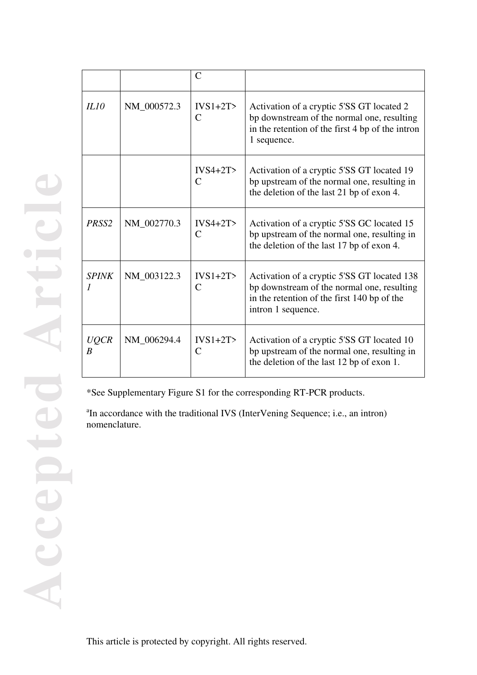|                   |             | $\mathcal{C}$              |                                                                                                                                                                |
|-------------------|-------------|----------------------------|----------------------------------------------------------------------------------------------------------------------------------------------------------------|
| IL10              | NM_000572.3 | $IVS1+2T$<br>$\mathcal{C}$ | Activation of a cryptic 5'SS GT located 2<br>bp downstream of the normal one, resulting<br>in the retention of the first 4 bp of the intron<br>1 sequence.     |
|                   |             | $IVS4+2T$<br>$\mathcal{C}$ | Activation of a cryptic 5'SS GT located 19<br>bp upstream of the normal one, resulting in<br>the deletion of the last 21 bp of exon 4.                         |
| PRSS <sub>2</sub> | NM 002770.3 | $IVS4+2T$<br>$\mathcal{C}$ | Activation of a cryptic 5'SS GC located 15<br>bp upstream of the normal one, resulting in<br>the deletion of the last 17 bp of exon 4.                         |
| <b>SPINK</b>      | NM_003122.3 | $IVS1+2T$<br>$\mathcal{C}$ | Activation of a cryptic 5'SS GT located 138<br>bp downstream of the normal one, resulting<br>in the retention of the first 140 bp of the<br>intron 1 sequence. |
| <b>UQCR</b><br>B  | NM_006294.4 | $IVS1+2T$<br>$\mathcal{C}$ | Activation of a cryptic 5'SS GT located 10<br>bp upstream of the normal one, resulting in<br>the deletion of the last 12 bp of exon 1.                         |

\*See Supplementary Figure S1 for the corresponding RT-PCR products.

<sup>a</sup>In accordance with the traditional IVS (InterVening Sequence; i.e., an intron) nomenclature.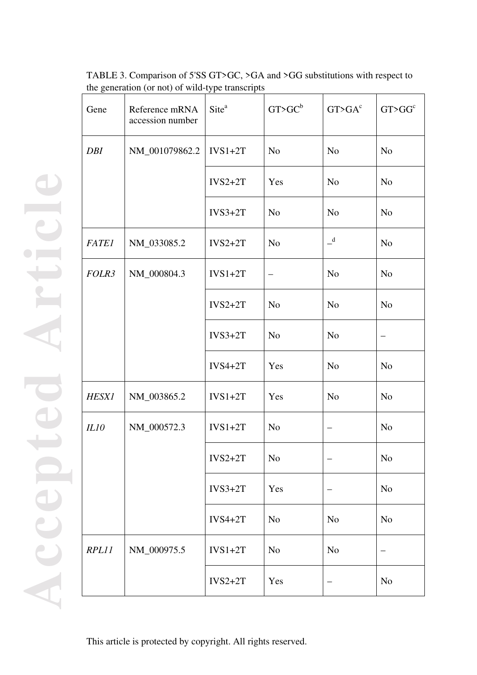| Gene         | Reference mRNA<br>accession number | Site <sup>a</sup> | G T > G C <sup>b</sup> | G T > G A <sup>c</sup> | G T > G G <sup>c</sup> |
|--------------|------------------------------------|-------------------|------------------------|------------------------|------------------------|
| <b>DBI</b>   | NM_001079862.2                     | $IVS1+2T$         | N <sub>o</sub>         | N <sub>o</sub>         | N <sub>o</sub>         |
|              |                                    | $IVS2+2T$         | Yes                    | N <sub>o</sub>         | N <sub>o</sub>         |
|              |                                    | $IVS3+2T$         | N <sub>o</sub>         | N <sub>o</sub>         | N <sub>o</sub>         |
| <b>FATE1</b> | NM_033085.2                        | $IVS2+2T$         | N <sub>o</sub>         | $\mathbf{d}$           | N <sub>o</sub>         |
| FOLR3        | NM_000804.3                        | $IVS1+2T$         |                        | N <sub>o</sub>         | N <sub>o</sub>         |
|              |                                    | $IVS2+2T$         | N <sub>o</sub>         | N <sub>o</sub>         | N <sub>o</sub>         |
|              |                                    | $IVS3+2T$         | N <sub>o</sub>         | N <sub>o</sub>         |                        |
|              |                                    | $IVS4+2T$         | Yes                    | N <sub>o</sub>         | N <sub>o</sub>         |
| <b>HESX1</b> | NM_003865.2                        | $IVS1+2T$         | Yes                    | N <sub>o</sub>         | N <sub>o</sub>         |
| <b>IL10</b>  | NM_000572.3                        | $IVS1+2T$         | N <sub>o</sub>         | -                      | N <sub>o</sub>         |
|              |                                    | $IVS2+2T$         | N <sub>o</sub>         |                        | N <sub>o</sub>         |
|              |                                    | $IVS3+2T$         | Yes                    |                        | N <sub>o</sub>         |
|              |                                    | $IVS4+2T$         | N <sub>o</sub>         | N <sub>o</sub>         | N <sub>o</sub>         |
| RPL11        | NM_000975.5                        | $IVS1+2T$         | N <sub>o</sub>         | N <sub>o</sub>         |                        |
|              |                                    | $IVS2+2T$         | Yes                    | —                      | N <sub>o</sub>         |

TABLE 3. Comparison of 5'SS GT>GC, >GA and >GG substitutions with respect to the generation (or not) of wild-type transcripts